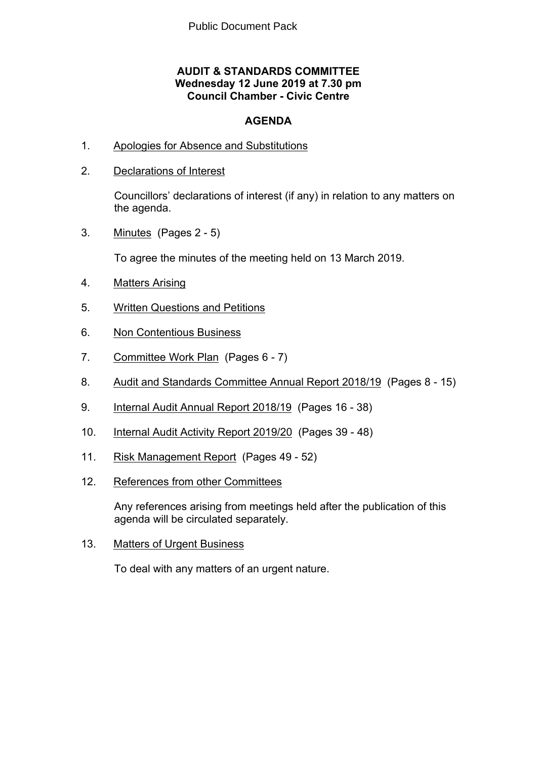#### **AUDIT & STANDARDS COMMITTEE Wednesday 12 June 2019 at 7.30 pm Council Chamber - Civic Centre**

#### **AGENDA**

- 1. Apologies for Absence and Substitutions
- 2. Declarations of Interest

Councillors' declarations of interest (if any) in relation to any matters on the agenda.

3. Minutes(Pages 2 - 5)

To agree the minutes of the meeting held on 13 March 2019.

- 4. Matters Arising
- 5. Written Questions and Petitions
- 6. Non Contentious Business
- 7. Committee Work Plan(Pages 6 7)
- 8. Audit and Standards Committee Annual Report 2018/19(Pages 8 15)
- 9. Internal Audit Annual Report 2018/19(Pages 16 38)
- 10. Internal Audit Activity Report 2019/20(Pages 39 48)
- 11. Risk Management Report(Pages 49 52)
- 12. References from other Committees

Any references arising from meetings held after the publication of this agenda will be circulated separately.

13. Matters of Urgent Business

To deal with any matters of an urgent nature.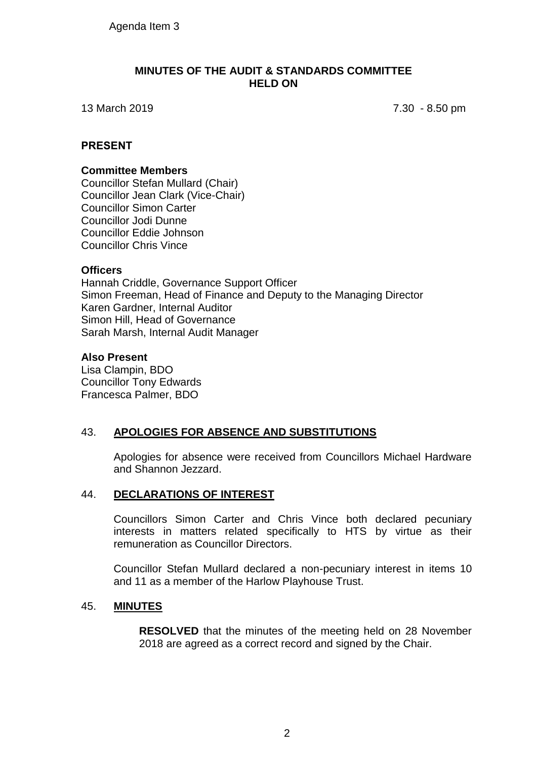#### **MINUTES OF THE AUDIT & STANDARDS COMMITTEE HELD ON**

13 March 2019 7.30 - 8.50 pm

#### **PRESENT**

#### **Committee Members**

Councillor Stefan Mullard (Chair) Councillor Jean Clark (Vice-Chair) Councillor Simon Carter Councillor Jodi Dunne Councillor Eddie Johnson Councillor Chris Vince

#### **Officers**

Hannah Criddle, Governance Support Officer Simon Freeman, Head of Finance and Deputy to the Managing Director Karen Gardner, Internal Auditor Simon Hill, Head of Governance Sarah Marsh, Internal Audit Manager

#### **Also Present**

Lisa Clampin, BDO Councillor Tony Edwards Francesca Palmer, BDO

#### 43. **APOLOGIES FOR ABSENCE AND SUBSTITUTIONS**

Apologies for absence were received from Councillors Michael Hardware and Shannon Jezzard.

#### 44. **DECLARATIONS OF INTEREST**

Councillors Simon Carter and Chris Vince both declared pecuniary interests in matters related specifically to HTS by virtue as their remuneration as Councillor Directors.

Councillor Stefan Mullard declared a non-pecuniary interest in items 10 and 11 as a member of the Harlow Playhouse Trust.

#### 45. **MINUTES**

**RESOLVED** that the minutes of the meeting held on 28 November 2018 are agreed as a correct record and signed by the Chair.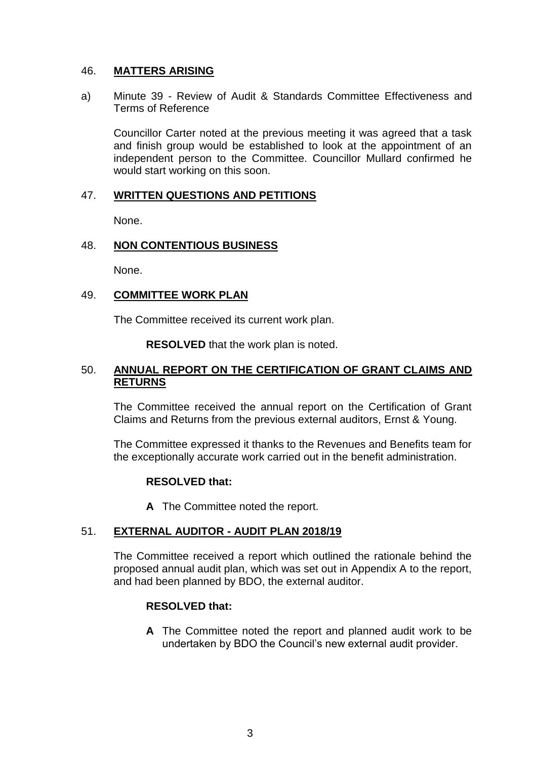#### 46. **MATTERS ARISING**

a) Minute 39 - Review of Audit & Standards Committee Effectiveness and Terms of Reference

Councillor Carter noted at the previous meeting it was agreed that a task and finish group would be established to look at the appointment of an independent person to the Committee. Councillor Mullard confirmed he would start working on this soon.

#### 47. **WRITTEN QUESTIONS AND PETITIONS**

None.

#### 48. **NON CONTENTIOUS BUSINESS**

None.

#### 49. **COMMITTEE WORK PLAN**

The Committee received its current work plan.

**RESOLVED** that the work plan is noted.

#### 50. **ANNUAL REPORT ON THE CERTIFICATION OF GRANT CLAIMS AND RETURNS**

The Committee received the annual report on the Certification of Grant Claims and Returns from the previous external auditors, Ernst & Young.

The Committee expressed it thanks to the Revenues and Benefits team for the exceptionally accurate work carried out in the benefit administration.

#### **RESOLVED that:**

**A** The Committee noted the report.

#### 51. **EXTERNAL AUDITOR - AUDIT PLAN 2018/19**

The Committee received a report which outlined the rationale behind the proposed annual audit plan, which was set out in Appendix A to the report, and had been planned by BDO, the external auditor.

#### **RESOLVED that:**

**A** The Committee noted the report and planned audit work to be undertaken by BDO the Council's new external audit provider.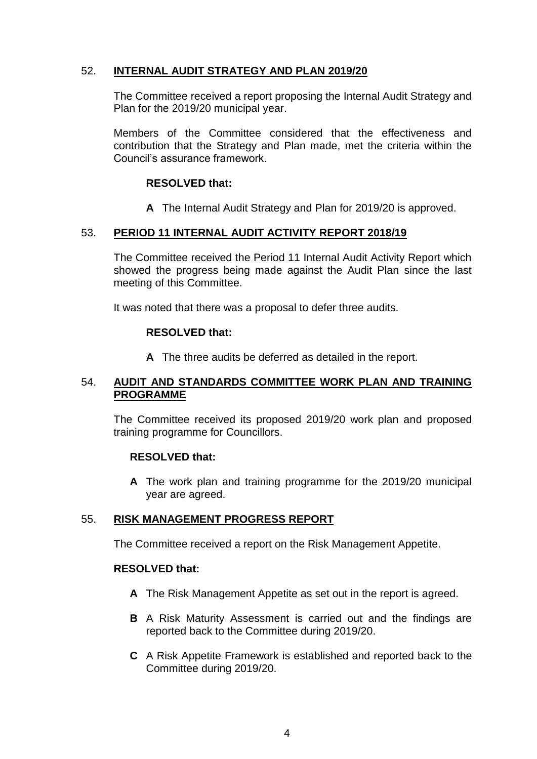#### 52. **INTERNAL AUDIT STRATEGY AND PLAN 2019/20**

The Committee received a report proposing the Internal Audit Strategy and Plan for the 2019/20 municipal year.

Members of the Committee considered that the effectiveness and contribution that the Strategy and Plan made, met the criteria within the Council's assurance framework.

#### **RESOLVED that:**

**A** The Internal Audit Strategy and Plan for 2019/20 is approved.

#### 53. **PERIOD 11 INTERNAL AUDIT ACTIVITY REPORT 2018/19**

The Committee received the Period 11 Internal Audit Activity Report which showed the progress being made against the Audit Plan since the last meeting of this Committee.

It was noted that there was a proposal to defer three audits.

#### **RESOLVED that:**

**A** The three audits be deferred as detailed in the report.

#### 54. **AUDIT AND STANDARDS COMMITTEE WORK PLAN AND TRAINING PROGRAMME**

The Committee received its proposed 2019/20 work plan and proposed training programme for Councillors.

#### **RESOLVED that:**

**A** The work plan and training programme for the 2019/20 municipal year are agreed.

#### 55. **RISK MANAGEMENT PROGRESS REPORT**

The Committee received a report on the Risk Management Appetite.

#### **RESOLVED that:**

- **A** The Risk Management Appetite as set out in the report is agreed.
- **B** A Risk Maturity Assessment is carried out and the findings are reported back to the Committee during 2019/20.
- **C** A Risk Appetite Framework is established and reported back to the Committee during 2019/20.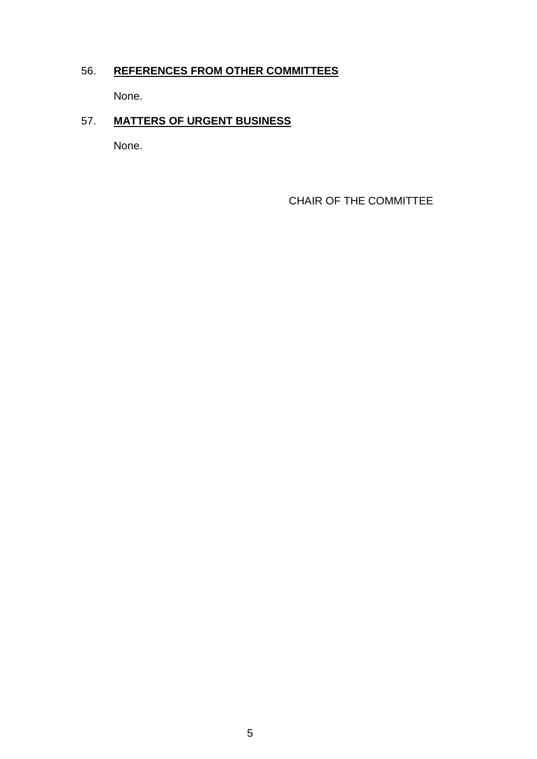## 56. **REFERENCES FROM OTHER COMMITTEES**

None.

## 57. **MATTERS OF URGENT BUSINESS**

None.

CHAIR OF THE COMMITTEE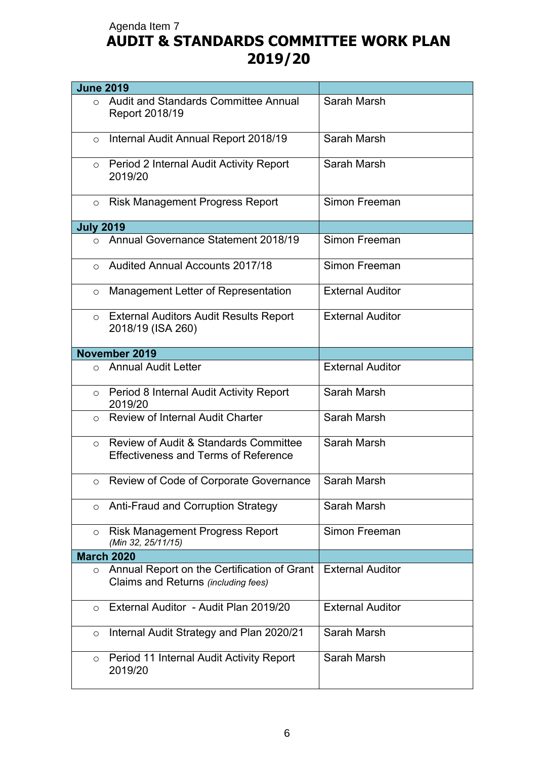# **AUDIT & STANDARDS COMMITTEE WORK PLAN 2019/20** Agenda Item 7

| <b>June 2019</b> |                                                                                                 |                         |
|------------------|-------------------------------------------------------------------------------------------------|-------------------------|
| $\circ$          | Audit and Standards Committee Annual<br>Report 2018/19                                          | Sarah Marsh             |
| $\circ$          | Internal Audit Annual Report 2018/19                                                            | Sarah Marsh             |
| $\circ$          | Period 2 Internal Audit Activity Report<br>2019/20                                              | Sarah Marsh             |
| $\circ$          | <b>Risk Management Progress Report</b>                                                          | Simon Freeman           |
| <b>July 2019</b> |                                                                                                 |                         |
|                  | o Annual Governance Statement 2018/19                                                           | Simon Freeman           |
| $\circ$          | <b>Audited Annual Accounts 2017/18</b>                                                          | Simon Freeman           |
| $\circ$          | Management Letter of Representation                                                             | <b>External Auditor</b> |
| $\circ$          | <b>External Auditors Audit Results Report</b><br>2018/19 (ISA 260)                              | <b>External Auditor</b> |
|                  | November 2019                                                                                   |                         |
| $\bigcirc$       | <b>Annual Audit Letter</b>                                                                      | <b>External Auditor</b> |
| $\circ$          | Period 8 Internal Audit Activity Report<br>2019/20                                              | Sarah Marsh             |
| $\circ$          | <b>Review of Internal Audit Charter</b>                                                         | Sarah Marsh             |
| $\circ$          | <b>Review of Audit &amp; Standards Committee</b><br><b>Effectiveness and Terms of Reference</b> | Sarah Marsh             |
| O                | Review of Code of Corporate Governance                                                          | Sarah Marsh             |
| $\circ$          | Anti-Fraud and Corruption Strategy                                                              | Sarah Marsh             |
| $\circ$          | <b>Risk Management Progress Report</b><br>(Min 32, 25/11/15)                                    | Simon Freeman           |
|                  | <b>March 2020</b>                                                                               |                         |
| $\circ$          | Annual Report on the Certification of Grant<br>Claims and Returns (including fees)              | <b>External Auditor</b> |
| $\circ$          | External Auditor - Audit Plan 2019/20                                                           | <b>External Auditor</b> |
| $\circ$          | Internal Audit Strategy and Plan 2020/21                                                        | Sarah Marsh             |
| O                | Period 11 Internal Audit Activity Report<br>2019/20                                             | Sarah Marsh             |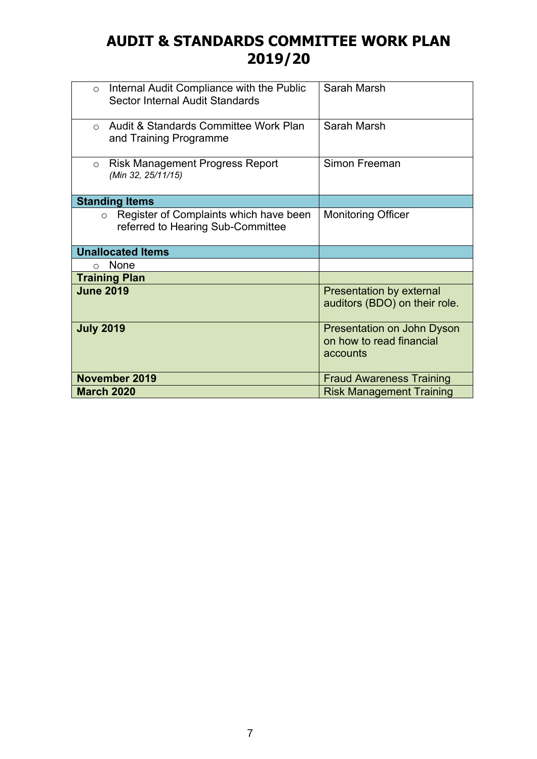# **AUDIT & STANDARDS COMMITTEE WORK PLAN 2019/20**

| Internal Audit Compliance with the Public<br>$\circ$<br>Sector Internal Audit Standards | Sarah Marsh                                                        |
|-----------------------------------------------------------------------------------------|--------------------------------------------------------------------|
| Audit & Standards Committee Work Plan<br>$\bigcirc$<br>and Training Programme           | Sarah Marsh                                                        |
| <b>Risk Management Progress Report</b><br>$\circ$<br>(Min 32, 25/11/15)                 | Simon Freeman                                                      |
| <b>Standing Items</b>                                                                   |                                                                    |
| Register of Complaints which have been<br>$\circ$<br>referred to Hearing Sub-Committee  | <b>Monitoring Officer</b>                                          |
| <b>Unallocated Items</b>                                                                |                                                                    |
| <b>None</b><br>$\bigcap$                                                                |                                                                    |
| <b>Training Plan</b>                                                                    |                                                                    |
| <b>June 2019</b>                                                                        | <b>Presentation by external</b><br>auditors (BDO) on their role.   |
| <b>July 2019</b>                                                                        | Presentation on John Dyson<br>on how to read financial<br>accounts |
| November 2019                                                                           | <b>Fraud Awareness Training</b>                                    |
| <b>March 2020</b>                                                                       | <b>Risk Management Training</b>                                    |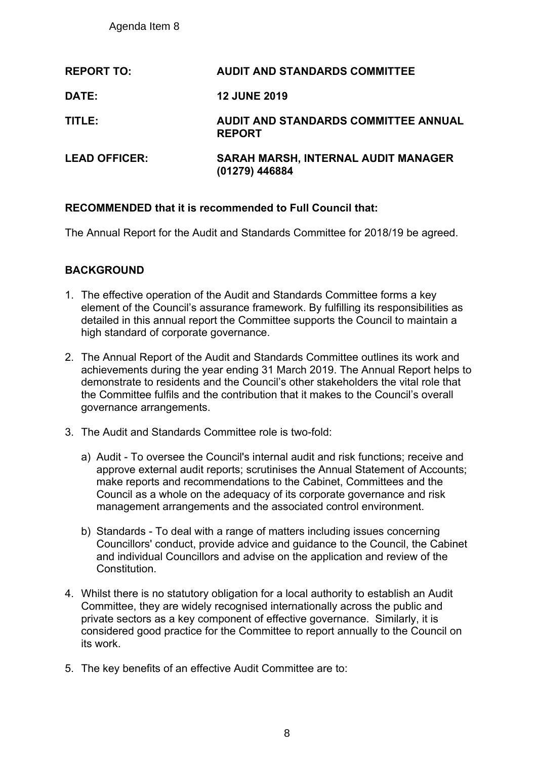Agenda Item 8

| <b>REPORT TO:</b>    | <b>AUDIT AND STANDARDS COMMITTEE</b>                         |
|----------------------|--------------------------------------------------------------|
| <b>DATE:</b>         | <b>12 JUNE 2019</b>                                          |
| TITLE:               | AUDIT AND STANDARDS COMMITTEE ANNUAL<br><b>REPORT</b>        |
| <b>LEAD OFFICER:</b> | <b>SARAH MARSH, INTERNAL AUDIT MANAGER</b><br>(01279) 446884 |

#### **RECOMMENDED that it is recommended to Full Council that:**

The Annual Report for the Audit and Standards Committee for 2018/19 be agreed.

#### **BACKGROUND**

- 1. The effective operation of the Audit and Standards Committee forms a key element of the Council's assurance framework. By fulfilling its responsibilities as detailed in this annual report the Committee supports the Council to maintain a high standard of corporate governance.
- 2. The Annual Report of the Audit and Standards Committee outlines its work and achievements during the year ending 31 March 2019. The Annual Report helps to demonstrate to residents and the Council's other stakeholders the vital role that the Committee fulfils and the contribution that it makes to the Council's overall governance arrangements.
- 3. The Audit and Standards Committee role is two-fold:
	- a) Audit To oversee the Council's internal audit and risk functions; receive and approve external audit reports; scrutinises the Annual Statement of Accounts; make reports and recommendations to the Cabinet, Committees and the Council as a whole on the adequacy of its corporate governance and risk management arrangements and the associated control environment.
	- b) Standards To deal with a range of matters including issues concerning Councillors' conduct, provide advice and guidance to the Council, the Cabinet and individual Councillors and advise on the application and review of the **Constitution**
- 4. Whilst there is no statutory obligation for a local authority to establish an Audit Committee, they are widely recognised internationally across the public and private sectors as a key component of effective governance. Similarly, it is considered good practice for the Committee to report annually to the Council on its work.
- 5. The key benefits of an effective Audit Committee are to: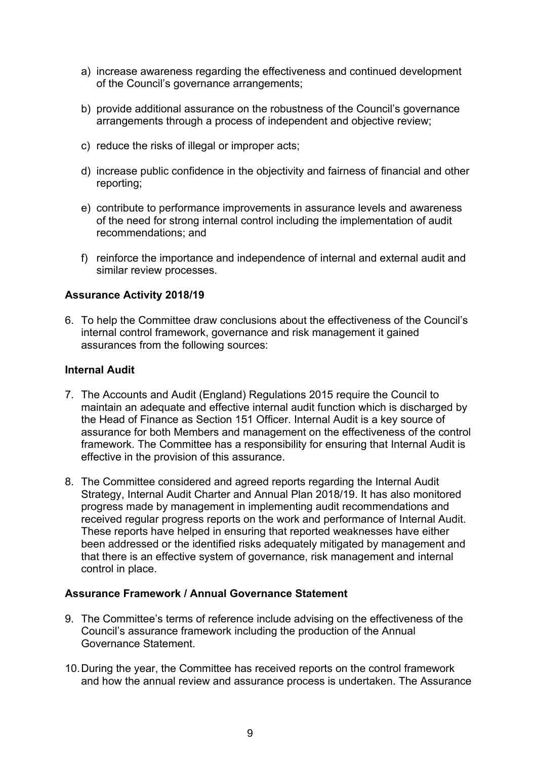- a) increase awareness regarding the effectiveness and continued development of the Council's governance arrangements;
- b) provide additional assurance on the robustness of the Council's governance arrangements through a process of independent and objective review;
- c) reduce the risks of illegal or improper acts;
- d) increase public confidence in the objectivity and fairness of financial and other reporting;
- e) contribute to performance improvements in assurance levels and awareness of the need for strong internal control including the implementation of audit recommendations; and
- f) reinforce the importance and independence of internal and external audit and similar review processes.

#### **Assurance Activity 2018/19**

6. To help the Committee draw conclusions about the effectiveness of the Council's internal control framework, governance and risk management it gained assurances from the following sources:

#### **Internal Audit**

- 7. The Accounts and Audit (England) Regulations 2015 require the Council to maintain an adequate and effective internal audit function which is discharged by the Head of Finance as Section 151 Officer. Internal Audit is a key source of assurance for both Members and management on the effectiveness of the control framework. The Committee has a responsibility for ensuring that Internal Audit is effective in the provision of this assurance.
- 8. The Committee considered and agreed reports regarding the Internal Audit Strategy, Internal Audit Charter and Annual Plan 2018/19. It has also monitored progress made by management in implementing audit recommendations and received regular progress reports on the work and performance of Internal Audit. These reports have helped in ensuring that reported weaknesses have either been addressed or the identified risks adequately mitigated by management and that there is an effective system of governance, risk management and internal control in place.

#### **Assurance Framework / Annual Governance Statement**

- 9. The Committee's terms of reference include advising on the effectiveness of the Council's assurance framework including the production of the Annual Governance Statement.
- 10.During the year, the Committee has received reports on the control framework and how the annual review and assurance process is undertaken. The Assurance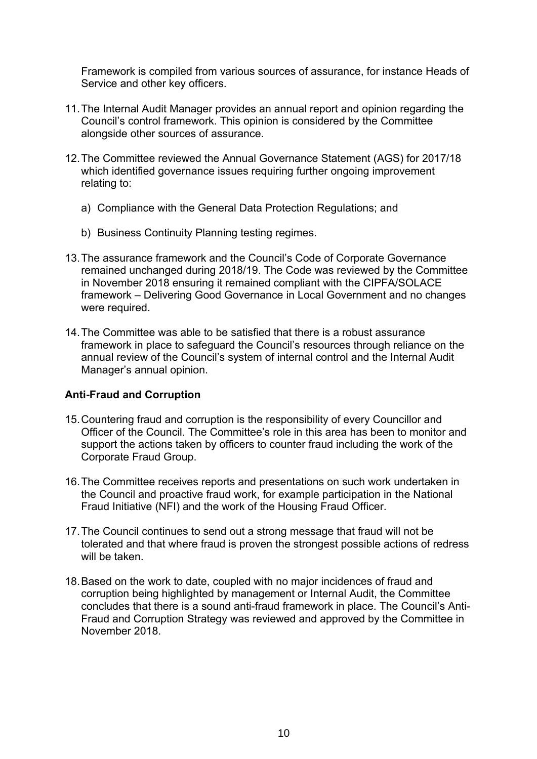Framework is compiled from various sources of assurance, for instance Heads of Service and other key officers.

- 11.The Internal Audit Manager provides an annual report and opinion regarding the Council's control framework. This opinion is considered by the Committee alongside other sources of assurance.
- 12.The Committee reviewed the Annual Governance Statement (AGS) for 2017/18 which identified governance issues requiring further ongoing improvement relating to:
	- a) Compliance with the General Data Protection Regulations; and
	- b) Business Continuity Planning testing regimes.
- 13.The assurance framework and the Council's Code of Corporate Governance remained unchanged during 2018/19. The Code was reviewed by the Committee in November 2018 ensuring it remained compliant with the CIPFA/SOLACE framework – Delivering Good Governance in Local Government and no changes were required.
- 14.The Committee was able to be satisfied that there is a robust assurance framework in place to safeguard the Council's resources through reliance on the annual review of the Council's system of internal control and the Internal Audit Manager's annual opinion.

#### **Anti-Fraud and Corruption**

- 15.Countering fraud and corruption is the responsibility of every Councillor and Officer of the Council. The Committee's role in this area has been to monitor and support the actions taken by officers to counter fraud including the work of the Corporate Fraud Group.
- 16.The Committee receives reports and presentations on such work undertaken in the Council and proactive fraud work, for example participation in the National Fraud Initiative (NFI) and the work of the Housing Fraud Officer.
- 17.The Council continues to send out a strong message that fraud will not be tolerated and that where fraud is proven the strongest possible actions of redress will be taken.
- 18.Based on the work to date, coupled with no major incidences of fraud and corruption being highlighted by management or Internal Audit, the Committee concludes that there is a sound anti-fraud framework in place. The Council's Anti-Fraud and Corruption Strategy was reviewed and approved by the Committee in November 2018.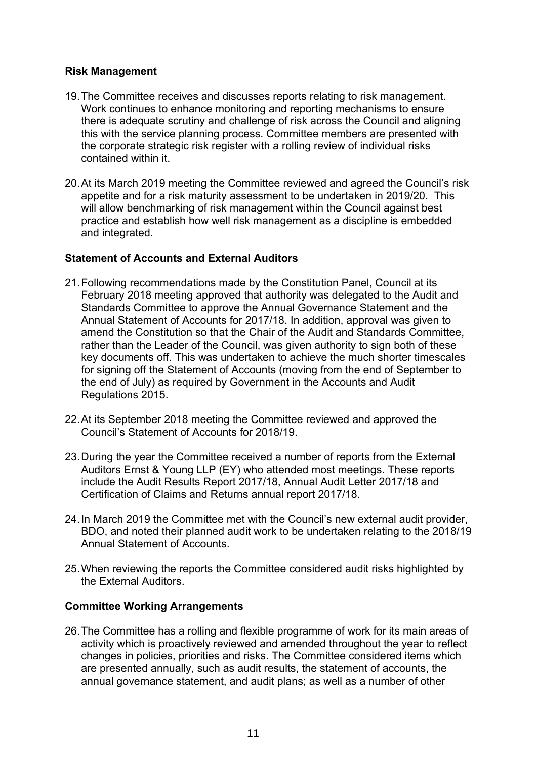#### **Risk Management**

- 19.The Committee receives and discusses reports relating to risk management. Work continues to enhance monitoring and reporting mechanisms to ensure there is adequate scrutiny and challenge of risk across the Council and aligning this with the service planning process. Committee members are presented with the corporate strategic risk register with a rolling review of individual risks contained within it.
- 20.At its March 2019 meeting the Committee reviewed and agreed the Council's risk appetite and for a risk maturity assessment to be undertaken in 2019/20. This will allow benchmarking of risk management within the Council against best practice and establish how well risk management as a discipline is embedded and integrated.

#### **Statement of Accounts and External Auditors**

- 21.Following recommendations made by the Constitution Panel, Council at its February 2018 meeting approved that authority was delegated to the Audit and Standards Committee to approve the Annual Governance Statement and the Annual Statement of Accounts for 2017/18. In addition, approval was given to amend the Constitution so that the Chair of the Audit and Standards Committee, rather than the Leader of the Council, was given authority to sign both of these key documents off. This was undertaken to achieve the much shorter timescales for signing off the Statement of Accounts (moving from the end of September to the end of July) as required by Government in the Accounts and Audit Regulations 2015.
- 22.At its September 2018 meeting the Committee reviewed and approved the Council's Statement of Accounts for 2018/19.
- 23.During the year the Committee received a number of reports from the External Auditors Ernst & Young LLP (EY) who attended most meetings. These reports include the Audit Results Report 2017/18, Annual Audit Letter 2017/18 and Certification of Claims and Returns annual report 2017/18.
- 24.In March 2019 the Committee met with the Council's new external audit provider, BDO, and noted their planned audit work to be undertaken relating to the 2018/19 Annual Statement of Accounts.
- 25.When reviewing the reports the Committee considered audit risks highlighted by the External Auditors.

#### **Committee Working Arrangements**

26.The Committee has a rolling and flexible programme of work for its main areas of activity which is proactively reviewed and amended throughout the year to reflect changes in policies, priorities and risks. The Committee considered items which are presented annually, such as audit results, the statement of accounts, the annual governance statement, and audit plans; as well as a number of other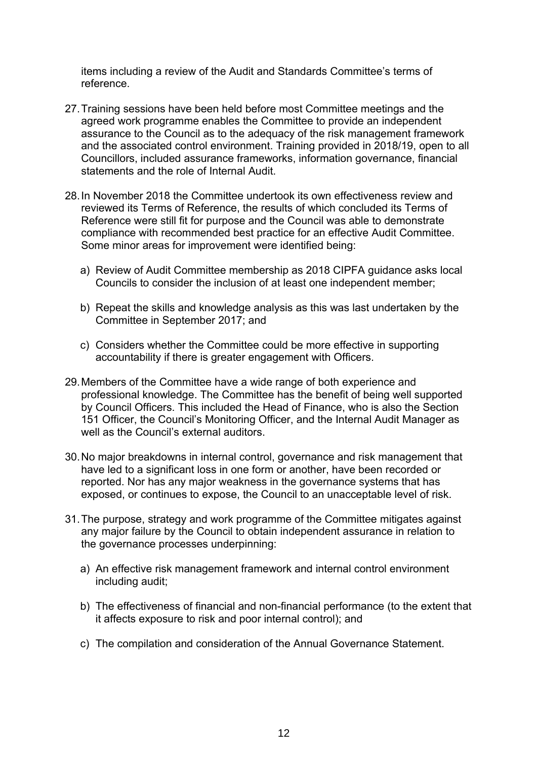items including a review of the Audit and Standards Committee's terms of reference.

- 27.Training sessions have been held before most Committee meetings and the agreed work programme enables the Committee to provide an independent assurance to the Council as to the adequacy of the risk management framework and the associated control environment. Training provided in 2018/19, open to all Councillors, included assurance frameworks, information governance, financial statements and the role of Internal Audit.
- 28.In November 2018 the Committee undertook its own effectiveness review and reviewed its Terms of Reference, the results of which concluded its Terms of Reference were still fit for purpose and the Council was able to demonstrate compliance with recommended best practice for an effective Audit Committee. Some minor areas for improvement were identified being:
	- a) Review of Audit Committee membership as 2018 CIPFA guidance asks local Councils to consider the inclusion of at least one independent member;
	- b) Repeat the skills and knowledge analysis as this was last undertaken by the Committee in September 2017; and
	- c) Considers whether the Committee could be more effective in supporting accountability if there is greater engagement with Officers.
- 29.Members of the Committee have a wide range of both experience and professional knowledge. The Committee has the benefit of being well supported by Council Officers. This included the Head of Finance, who is also the Section 151 Officer, the Council's Monitoring Officer, and the Internal Audit Manager as well as the Council's external auditors.
- 30.No major breakdowns in internal control, governance and risk management that have led to a significant loss in one form or another, have been recorded or reported. Nor has any major weakness in the governance systems that has exposed, or continues to expose, the Council to an unacceptable level of risk.
- 31.The purpose, strategy and work programme of the Committee mitigates against any major failure by the Council to obtain independent assurance in relation to the governance processes underpinning:
	- a) An effective risk management framework and internal control environment including audit;
	- b) The effectiveness of financial and non-financial performance (to the extent that it affects exposure to risk and poor internal control); and
	- c) The compilation and consideration of the Annual Governance Statement.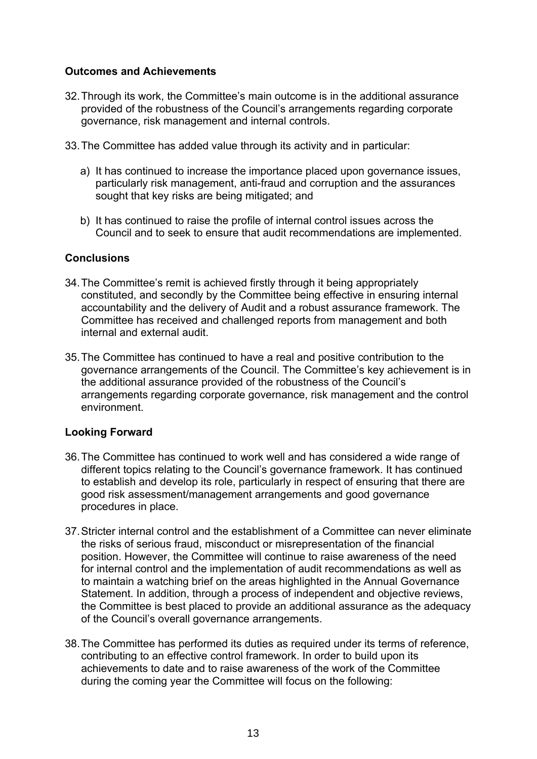#### **Outcomes and Achievements**

- 32.Through its work, the Committee's main outcome is in the additional assurance provided of the robustness of the Council's arrangements regarding corporate governance, risk management and internal controls.
- 33.The Committee has added value through its activity and in particular:
	- a) It has continued to increase the importance placed upon governance issues, particularly risk management, anti-fraud and corruption and the assurances sought that key risks are being mitigated; and
	- b) It has continued to raise the profile of internal control issues across the Council and to seek to ensure that audit recommendations are implemented.

#### **Conclusions**

- 34.The Committee's remit is achieved firstly through it being appropriately constituted, and secondly by the Committee being effective in ensuring internal accountability and the delivery of Audit and a robust assurance framework. The Committee has received and challenged reports from management and both internal and external audit.
- 35.The Committee has continued to have a real and positive contribution to the governance arrangements of the Council. The Committee's key achievement is in the additional assurance provided of the robustness of the Council's arrangements regarding corporate governance, risk management and the control environment.

#### **Looking Forward**

- 36.The Committee has continued to work well and has considered a wide range of different topics relating to the Council's governance framework. It has continued to establish and develop its role, particularly in respect of ensuring that there are good risk assessment/management arrangements and good governance procedures in place.
- 37.Stricter internal control and the establishment of a Committee can never eliminate the risks of serious fraud, misconduct or misrepresentation of the financial position. However, the Committee will continue to raise awareness of the need for internal control and the implementation of audit recommendations as well as to maintain a watching brief on the areas highlighted in the Annual Governance Statement. In addition, through a process of independent and objective reviews, the Committee is best placed to provide an additional assurance as the adequacy of the Council's overall governance arrangements.
- 38.The Committee has performed its duties as required under its terms of reference, contributing to an effective control framework. In order to build upon its achievements to date and to raise awareness of the work of the Committee during the coming year the Committee will focus on the following: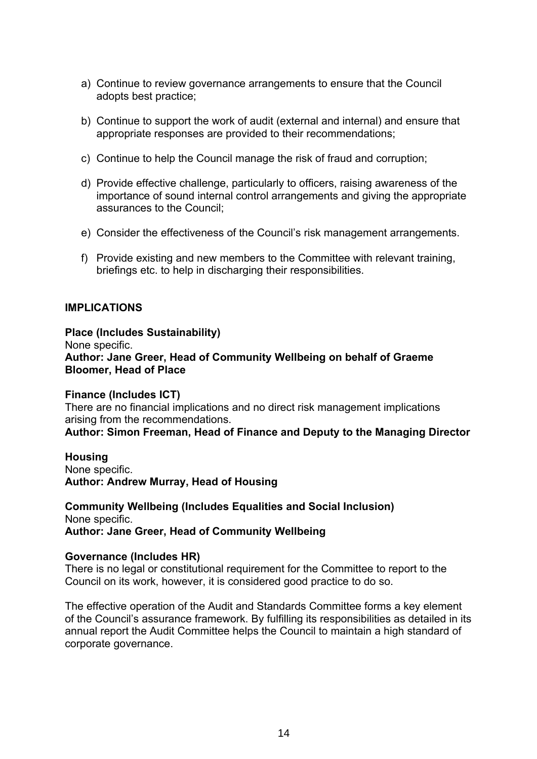- a) Continue to review governance arrangements to ensure that the Council adopts best practice;
- b) Continue to support the work of audit (external and internal) and ensure that appropriate responses are provided to their recommendations;
- c) Continue to help the Council manage the risk of fraud and corruption;
- d) Provide effective challenge, particularly to officers, raising awareness of the importance of sound internal control arrangements and giving the appropriate assurances to the Council;
- e) Consider the effectiveness of the Council's risk management arrangements.
- f) Provide existing and new members to the Committee with relevant training, briefings etc. to help in discharging their responsibilities.

#### **IMPLICATIONS**

#### **Place (Includes Sustainability)** None specific. **Author: Jane Greer, Head of Community Wellbeing on behalf of Graeme Bloomer, Head of Place**

**Finance (Includes ICT)** There are no financial implications and no direct risk management implications arising from the recommendations.

**Author: Simon Freeman, Head of Finance and Deputy to the Managing Director**

**Housing** None specific. **Author: Andrew Murray, Head of Housing**

**Community Wellbeing (Includes Equalities and Social Inclusion)** None specific. **Author: Jane Greer, Head of Community Wellbeing**

#### **Governance (Includes HR)**

There is no legal or constitutional requirement for the Committee to report to the Council on its work, however, it is considered good practice to do so.

The effective operation of the Audit and Standards Committee forms a key element of the Council's assurance framework. By fulfilling its responsibilities as detailed in its annual report the Audit Committee helps the Council to maintain a high standard of corporate governance.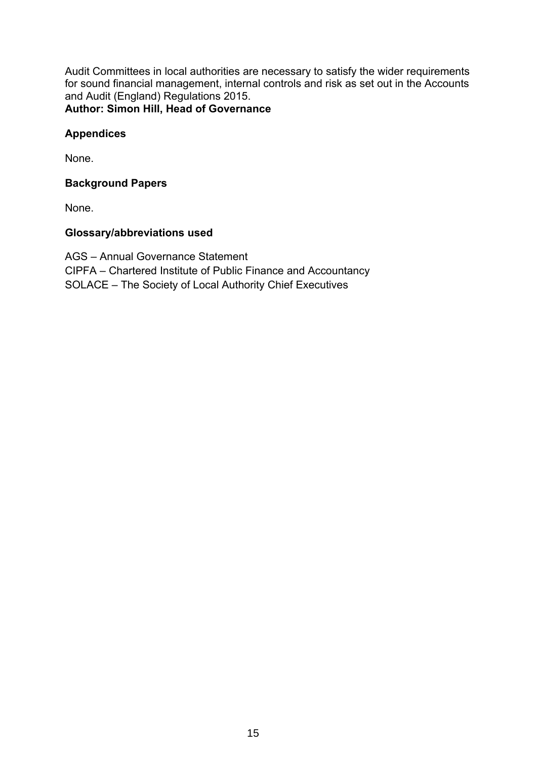Audit Committees in local authorities are necessary to satisfy the wider requirements for sound financial management, internal controls and risk as set out in the Accounts and Audit (England) Regulations 2015. **Author: Simon Hill, Head of Governance**

#### **Appendices**

None.

#### **Background Papers**

None.

#### **Glossary/abbreviations used**

AGS – Annual Governance Statement CIPFA – Chartered Institute of Public Finance and Accountancy SOLACE – The Society of Local Authority Chief Executives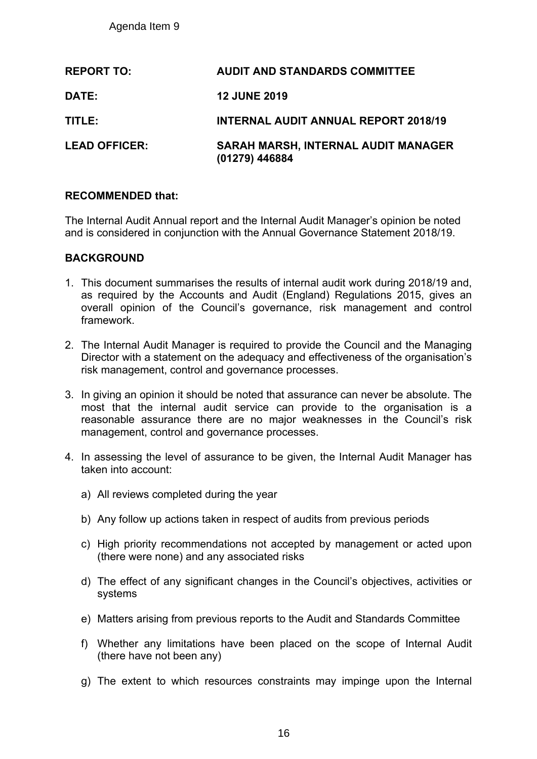|                      |                                                                                                                                                                                                                                                                                    | Agenda Item 9                              |                                                                                                                                                                                                                                    |  |  |  |  |
|----------------------|------------------------------------------------------------------------------------------------------------------------------------------------------------------------------------------------------------------------------------------------------------------------------------|--------------------------------------------|------------------------------------------------------------------------------------------------------------------------------------------------------------------------------------------------------------------------------------|--|--|--|--|
|                      |                                                                                                                                                                                                                                                                                    | <b>REPORT TO:</b>                          | <b>AUDIT AND STANDARDS COMMITTEE</b>                                                                                                                                                                                               |  |  |  |  |
|                      | DATE:                                                                                                                                                                                                                                                                              |                                            | <b>12 JUNE 2019</b>                                                                                                                                                                                                                |  |  |  |  |
|                      | TITLE:                                                                                                                                                                                                                                                                             |                                            | <b>INTERNAL AUDIT ANNUAL REPORT 2018/19</b>                                                                                                                                                                                        |  |  |  |  |
| <b>LEAD OFFICER:</b> |                                                                                                                                                                                                                                                                                    |                                            | <b>SARAH MARSH, INTERNAL AUDIT MANAGER</b><br>(01279) 446884                                                                                                                                                                       |  |  |  |  |
|                      |                                                                                                                                                                                                                                                                                    | <b>RECOMMENDED that:</b>                   |                                                                                                                                                                                                                                    |  |  |  |  |
|                      |                                                                                                                                                                                                                                                                                    |                                            | The Internal Audit Annual report and the Internal Audit Manager's opinion be note<br>and is considered in conjunction with the Annual Governance Statement 2018/19                                                                 |  |  |  |  |
|                      |                                                                                                                                                                                                                                                                                    | <b>BACKGROUND</b>                          |                                                                                                                                                                                                                                    |  |  |  |  |
|                      |                                                                                                                                                                                                                                                                                    | framework.                                 | 1. This document summarises the results of internal audit work during 2018/19 a<br>as required by the Accounts and Audit (England) Regulations 2015, gives<br>overall opinion of the Council's governance, risk management and cor |  |  |  |  |
|                      | 2. The Internal Audit Manager is required to provide the Council and the Managent<br>Director with a statement on the adequacy and effectiveness of the organisation<br>risk management, control and governance processes.                                                         |                                            |                                                                                                                                                                                                                                    |  |  |  |  |
|                      | 3. In giving an opinion it should be noted that assurance can never be absolute.<br>most that the internal audit service can provide to the organisation i<br>reasonable assurance there are no major weaknesses in the Council's<br>management, control and governance processes. |                                            |                                                                                                                                                                                                                                    |  |  |  |  |
|                      |                                                                                                                                                                                                                                                                                    | taken into account:                        | 4. In assessing the level of assurance to be given, the Internal Audit Manager                                                                                                                                                     |  |  |  |  |
|                      |                                                                                                                                                                                                                                                                                    | a) All reviews completed during the year   |                                                                                                                                                                                                                                    |  |  |  |  |
|                      |                                                                                                                                                                                                                                                                                    |                                            | b) Any follow up actions taken in respect of audits from previous periods                                                                                                                                                          |  |  |  |  |
|                      |                                                                                                                                                                                                                                                                                    | (there were none) and any associated risks | c) High priority recommendations not accepted by management or acted u                                                                                                                                                             |  |  |  |  |
|                      | d) The effect of any significant changes in the Council's objectives, activitie<br>systems                                                                                                                                                                                         |                                            |                                                                                                                                                                                                                                    |  |  |  |  |
|                      |                                                                                                                                                                                                                                                                                    |                                            | e) Matters arising from previous reports to the Audit and Standards Committe                                                                                                                                                       |  |  |  |  |
|                      | f)                                                                                                                                                                                                                                                                                 | (there have not been any)                  | Whether any limitations have been placed on the scope of Internal A                                                                                                                                                                |  |  |  |  |
|                      |                                                                                                                                                                                                                                                                                    |                                            | g) The extent to which resources constraints may impinge upon the Inte                                                                                                                                                             |  |  |  |  |
|                      |                                                                                                                                                                                                                                                                                    |                                            | 16                                                                                                                                                                                                                                 |  |  |  |  |

#### **RECOMMENDED that:**

#### **BACKGROUND**

- 1. This document summarises the results of internal audit work during 2018/19 and, as required by the Accounts and Audit (England) Regulations 2015, gives an overall opinion of the Council's governance, risk management and control framework.
- 2. The Internal Audit Manager is required to provide the Council and the Managing Director with a statement on the adequacy and effectiveness of the organisation's risk management, control and governance processes.
- 3. In giving an opinion it should be noted that assurance can never be absolute. The most that the internal audit service can provide to the organisation is a reasonable assurance there are no major weaknesses in the Council's risk management, control and governance processes.
- 4. In assessing the level of assurance to be given, the Internal Audit Manager has taken into account:
	- a) All reviews completed during the year
	- b) Any follow up actions taken in respect of audits from previous periods
	- c) High priority recommendations not accepted by management or acted upon (there were none) and any associated risks
	- d) The effect of any significant changes in the Council's objectives, activities or systems
	- e) Matters arising from previous reports to the Audit and Standards Committee
	- f) Whether any limitations have been placed on the scope of Internal Audit (there have not been any)
	- g) The extent to which resources constraints may impinge upon the Internal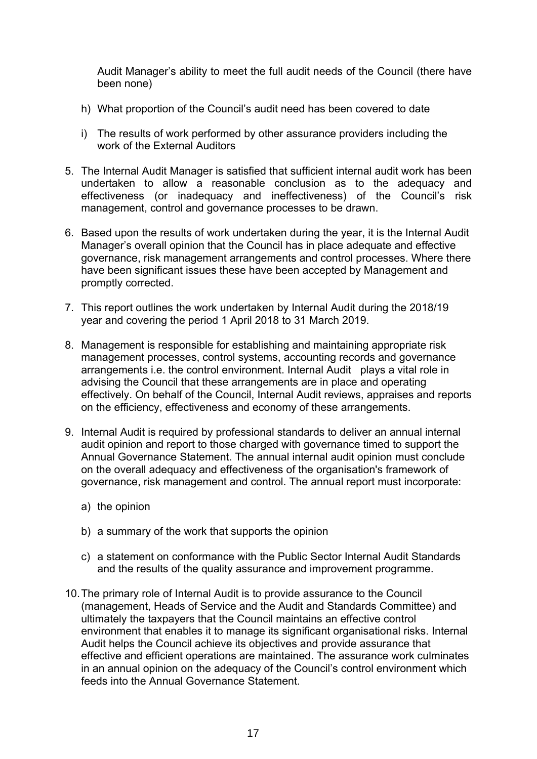Audit Manager's ability to meet the full audit needs of the Council (there have been none)

- h) What proportion of the Council's audit need has been covered to date
- i) The results of work performed by other assurance providers including the work of the External Auditors
- 5. The Internal Audit Manager is satisfied that sufficient internal audit work has been undertaken to allow a reasonable conclusion as to the adequacy and effectiveness (or inadequacy and ineffectiveness) of the Council's risk management, control and governance processes to be drawn.
- 6. Based upon the results of work undertaken during the year, it is the Internal Audit Manager's overall opinion that the Council has in place adequate and effective governance, risk management arrangements and control processes. Where there have been significant issues these have been accepted by Management and promptly corrected.
- 7. This report outlines the work undertaken by Internal Audit during the 2018/19 year and covering the period 1 April 2018 to 31 March 2019.
- 8. Management is responsible for establishing and maintaining appropriate risk management processes, control systems, accounting records and governance arrangements i.e. the control environment. Internal Audit plays a vital role in advising the Council that these arrangements are in place and operating effectively. On behalf of the Council, Internal Audit reviews, appraises and reports on the efficiency, effectiveness and economy of these arrangements.
- 9. Internal Audit is required by professional standards to deliver an annual internal audit opinion and report to those charged with governance timed to support the Annual Governance Statement. The annual internal audit opinion must conclude on the overall adequacy and effectiveness of the organisation's framework of governance, risk management and control. The annual report must incorporate:
	- a) the opinion
	- b) a summary of the work that supports the opinion
	- c) a statement on conformance with the Public Sector Internal Audit Standards and the results of the quality assurance and improvement programme.
- 10.The primary role of Internal Audit is to provide assurance to the Council (management, Heads of Service and the Audit and Standards Committee) and ultimately the taxpayers that the Council maintains an effective control environment that enables it to manage its significant organisational risks. Internal Audit helps the Council achieve its objectives and provide assurance that effective and efficient operations are maintained. The assurance work culminates in an annual opinion on the adequacy of the Council's control environment which feeds into the Annual Governance Statement.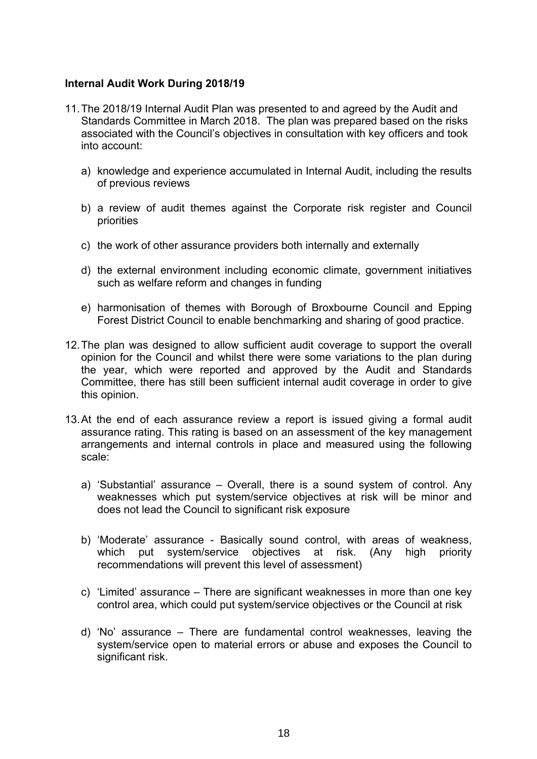#### **Internal Audit Work During 2018/19**

- 11.The 2018/19 Internal Audit Plan was presented to and agreed by the Audit and Standards Committee in March 2018. The plan was prepared based on the risks associated with the Council's objectives in consultation with key officers and took into account:
	- a) knowledge and experience accumulated in Internal Audit, including the results of previous reviews
	- b) a review of audit themes against the Corporate risk register and Council priorities
	- c) the work of other assurance providers both internally and externally
	- d) the external environment including economic climate, government initiatives such as welfare reform and changes in funding
	- e) harmonisation of themes with Borough of Broxbourne Council and Epping Forest District Council to enable benchmarking and sharing of good practice.
- 12.The plan was designed to allow sufficient audit coverage to support the overall opinion for the Council and whilst there were some variations to the plan during the year, which were reported and approved by the Audit and Standards Committee, there has still been sufficient internal audit coverage in order to give this opinion.
- 13.At the end of each assurance review a report is issued giving a formal audit assurance rating. This rating is based on an assessment of the key management arrangements and internal controls in place and measured using the following scale:
	- a) 'Substantial' assurance Overall, there is a sound system of control. Any weaknesses which put system/service objectives at risk will be minor and does not lead the Council to significant risk exposure
	- b) 'Moderate' assurance Basically sound control, with areas of weakness, which put system/service objectives at risk. (Any high priority recommendations will prevent this level of assessment)
	- c) 'Limited' assurance There are significant weaknesses in more than one key control area, which could put system/service objectives or the Council at risk
	- d) 'No' assurance There are fundamental control weaknesses, leaving the system/service open to material errors or abuse and exposes the Council to significant risk.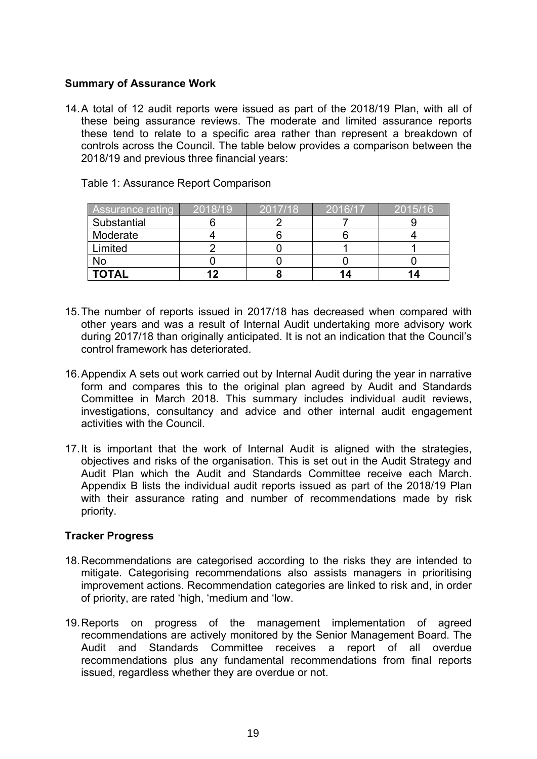#### **Summary of Assurance Work**

14.A total of 12 audit reports were issued as part of the 2018/19 Plan, with all of these being assurance reviews. The moderate and limited assurance reports these tend to relate to a specific area rather than represent a breakdown of controls across the Council. The table below provides a comparison between the 2018/19 and previous three financial years:

| <b>Assurance rating</b> | 2018/19 | 2017/18 | 2016/17 | 2015/16 |
|-------------------------|---------|---------|---------|---------|
| Substantial             |         |         |         |         |
| Moderate                |         |         |         |         |
| Limited                 |         |         |         |         |
| No                      |         |         |         |         |
| <b>TOTAL</b>            | 12      |         |         |         |

Table 1: Assurance Report Comparison

- 15.The number of reports issued in 2017/18 has decreased when compared with other years and was a result of Internal Audit undertaking more advisory work during 2017/18 than originally anticipated. It is not an indication that the Council's control framework has deteriorated.
- 16.Appendix A sets out work carried out by Internal Audit during the year in narrative form and compares this to the original plan agreed by Audit and Standards Committee in March 2018. This summary includes individual audit reviews, investigations, consultancy and advice and other internal audit engagement activities with the Council.
- 17.It is important that the work of Internal Audit is aligned with the strategies, objectives and risks of the organisation. This is set out in the Audit Strategy and Audit Plan which the Audit and Standards Committee receive each March. Appendix B lists the individual audit reports issued as part of the 2018/19 Plan with their assurance rating and number of recommendations made by risk priority.

#### **Tracker Progress**

- 18.Recommendations are categorised according to the risks they are intended to mitigate. Categorising recommendations also assists managers in prioritising improvement actions. Recommendation categories are linked to risk and, in order of priority, are rated 'high, 'medium and 'low.
- 19.Reports on progress of the management implementation of agreed recommendations are actively monitored by the Senior Management Board. The Audit and Standards Committee receives a report of all overdue recommendations plus any fundamental recommendations from final reports issued, regardless whether they are overdue or not.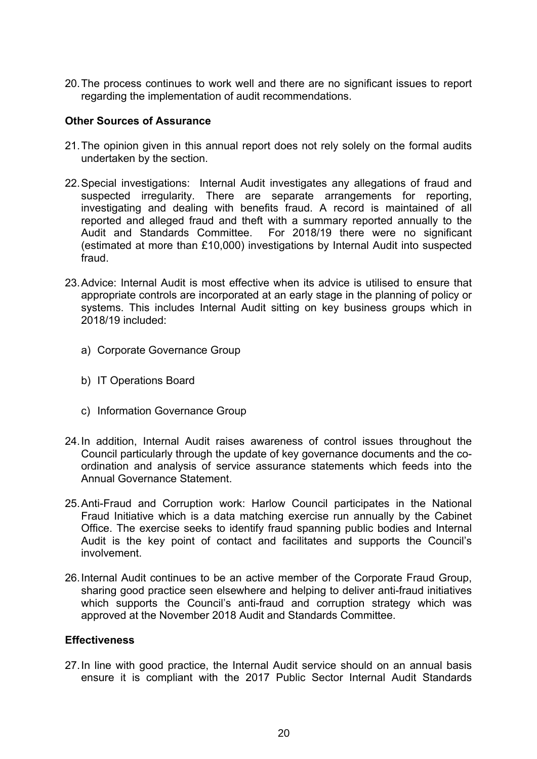20.The process continues to work well and there are no significant issues to report regarding the implementation of audit recommendations.

#### **Other Sources of Assurance**

- 21.The opinion given in this annual report does not rely solely on the formal audits undertaken by the section.
- 22.Special investigations: Internal Audit investigates any allegations of fraud and suspected irregularity. There are separate arrangements for reporting, investigating and dealing with benefits fraud. A record is maintained of all reported and alleged fraud and theft with a summary reported annually to the Audit and Standards Committee. For 2018/19 there were no significant (estimated at more than £10,000) investigations by Internal Audit into suspected fraud.
- 23.Advice: Internal Audit is most effective when its advice is utilised to ensure that appropriate controls are incorporated at an early stage in the planning of policy or systems. This includes Internal Audit sitting on key business groups which in 2018/19 included:
	- a) Corporate Governance Group
	- b) IT Operations Board
	- c) Information Governance Group
- 24.In addition, Internal Audit raises awareness of control issues throughout the Council particularly through the update of key governance documents and the coordination and analysis of service assurance statements which feeds into the Annual Governance Statement.
- 25.Anti-Fraud and Corruption work: Harlow Council participates in the National Fraud Initiative which is a data matching exercise run annually by the Cabinet Office. The exercise seeks to identify fraud spanning public bodies and Internal Audit is the key point of contact and facilitates and supports the Council's involvement.
- 26.Internal Audit continues to be an active member of the Corporate Fraud Group, sharing good practice seen elsewhere and helping to deliver anti-fraud initiatives which supports the Council's anti-fraud and corruption strategy which was approved at the November 2018 Audit and Standards Committee.

#### **Effectiveness**

27.In line with good practice, the Internal Audit service should on an annual basis ensure it is compliant with the 2017 Public Sector Internal Audit Standards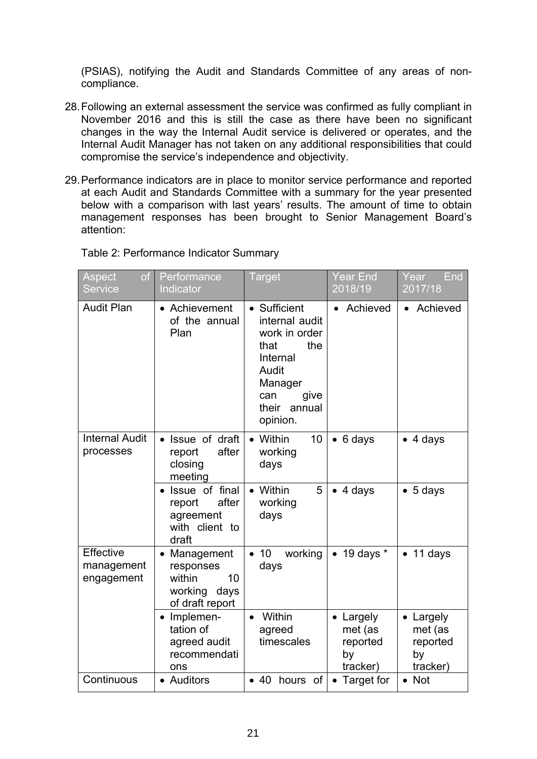(PSIAS), notifying the Audit and Standards Committee of any areas of noncompliance.

- 28.Following an external assessment the service was confirmed as fully compliant in November 2016 and this is still the case as there have been no significant changes in the way the Internal Audit service is delivered or operates, and the Internal Audit Manager has not taken on any additional responsibilities that could compromise the service's independence and objectivity.
- 29.Performance indicators are in place to monitor service performance and reported at each Audit and Standards Committee with a summary for the year presented below with a comparison with last years' results. The amount of time to obtain management responses has been brought to Senior Management Board's attention:

| Table 2: Performance Indicator Summary |
|----------------------------------------|
|----------------------------------------|

| of<br>Aspect<br><b>Service</b>               | Performance<br>Indicator                                                      | <b>Target</b>                                                                                                                                | Year End<br>2018/19                              | End<br>Year<br>2017/18                             |
|----------------------------------------------|-------------------------------------------------------------------------------|----------------------------------------------------------------------------------------------------------------------------------------------|--------------------------------------------------|----------------------------------------------------|
| <b>Audit Plan</b>                            | • Achievement<br>of the annual<br>Plan                                        | • Sufficient<br>internal audit<br>work in order<br>the<br>that<br>Internal<br>Audit<br>Manager<br>can<br>give<br>their<br>annual<br>opinion. | Achieved                                         | Achieved                                           |
| <b>Internal Audit</b><br>processes           | Issue of draft<br>after<br>report<br>closing<br>meeting                       | 10<br>Within<br>working<br>days                                                                                                              | $\bullet$ 6 days                                 | $\bullet$ 4 days                                   |
|                                              | Issue of final<br>after<br>report<br>agreement<br>with client to<br>draft     | Within<br>5<br>working<br>days                                                                                                               | $\bullet$ 4 days                                 | $\bullet$ 5 days                                   |
| <b>Effective</b><br>management<br>engagement | Management<br>responses<br>within<br>10<br>working<br>days<br>of draft report | 10<br>working<br>$\bullet$<br>days                                                                                                           | 19 days $*$<br>$\bullet$                         | 11 days                                            |
|                                              | Implemen-<br>$\bullet$<br>tation of<br>agreed audit<br>recommendati<br>ons    | Within<br>agreed<br>timescales                                                                                                               | Largely<br>met (as<br>reported<br>by<br>tracker) | • Largely<br>met (as<br>reported<br>by<br>tracker) |
| Continuous                                   | • Auditors                                                                    | • 40 hours of                                                                                                                                | • Target for                                     | $\bullet$ Not                                      |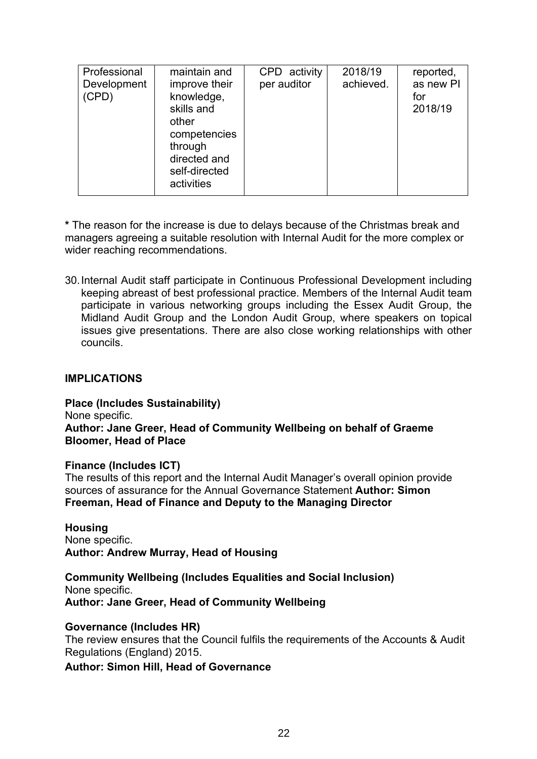| Professional<br>Development<br>(CPD) | maintain and<br>improve their<br>knowledge,<br>skills and<br>other<br>competencies<br>through<br>directed and<br>self-directed<br>activities | CPD activity<br>per auditor | 2018/19<br>achieved. | reported,<br>as new PI<br>for<br>2018/19 |
|--------------------------------------|----------------------------------------------------------------------------------------------------------------------------------------------|-----------------------------|----------------------|------------------------------------------|
|--------------------------------------|----------------------------------------------------------------------------------------------------------------------------------------------|-----------------------------|----------------------|------------------------------------------|

**\*** The reason for the increase is due to delays because of the Christmas break and managers agreeing a suitable resolution with Internal Audit for the more complex or wider reaching recommendations.

30.Internal Audit staff participate in Continuous Professional Development including keeping abreast of best professional practice. Members of the Internal Audit team participate in various networking groups including the Essex Audit Group, the Midland Audit Group and the London Audit Group, where speakers on topical issues give presentations. There are also close working relationships with other councils.

#### **IMPLICATIONS**

**Place (Includes Sustainability)**

None specific.

#### **Author: Jane Greer, Head of Community Wellbeing on behalf of Graeme Bloomer, Head of Place**

#### **Finance (Includes ICT)**

The results of this report and the Internal Audit Manager's overall opinion provide sources of assurance for the Annual Governance Statement **Author: Simon Freeman, Head of Finance and Deputy to the Managing Director**

**Housing** None specific. **Author: Andrew Murray, Head of Housing**

**Community Wellbeing (Includes Equalities and Social Inclusion)** None specific. **Author: Jane Greer, Head of Community Wellbeing**

#### **Governance (Includes HR)**

The review ensures that the Council fulfils the requirements of the Accounts & Audit Regulations (England) 2015.

**Author: Simon Hill, Head of Governance**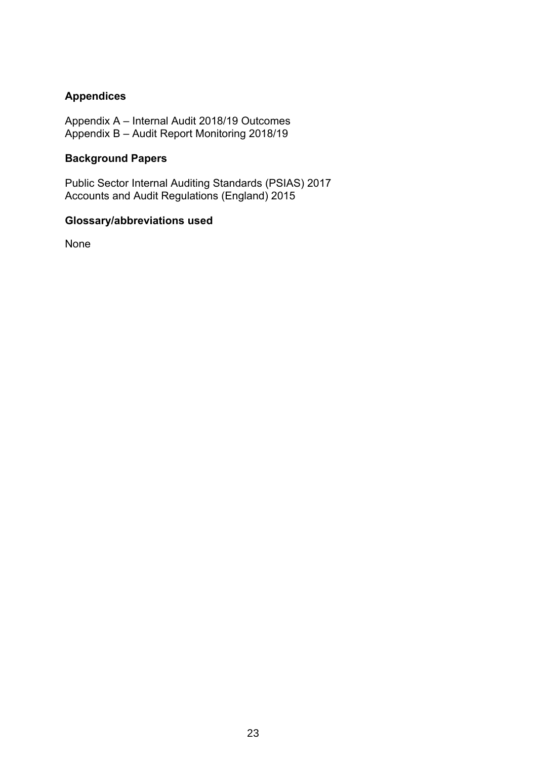## **Appendices**

Appendix A – Internal Audit 2018/19 Outcomes Appendix B – Audit Report Monitoring 2018/19

#### **Background Papers**

Public Sector Internal Auditing Standards (PSIAS) 2017 Accounts and Audit Regulations (England) 2015

#### **Glossary/abbreviations used**

None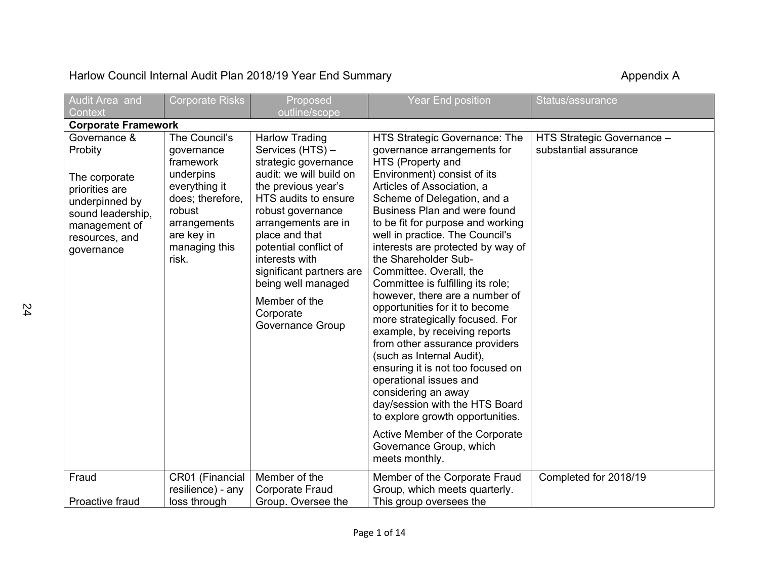# Harlow Council Internal Audit Plan 2018/19 Year End Summary **Accouncil Accouncil Internal Audit Plan 2018/19 Year End Summary** Appendix A

| Audit Area and                                                                                                                                     | <b>Corporate Risks</b>                                                                                                                                       | Proposed                                                                                                                                                                                                                                                                                                                                                 | <b>Year End position</b>                                                                                                                                                                                                                                                                                                                                                                                                                                                                                                                                                                                                                                                                                                                                                                                                                                             | Status/assurance                                    |  |  |  |
|----------------------------------------------------------------------------------------------------------------------------------------------------|--------------------------------------------------------------------------------------------------------------------------------------------------------------|----------------------------------------------------------------------------------------------------------------------------------------------------------------------------------------------------------------------------------------------------------------------------------------------------------------------------------------------------------|----------------------------------------------------------------------------------------------------------------------------------------------------------------------------------------------------------------------------------------------------------------------------------------------------------------------------------------------------------------------------------------------------------------------------------------------------------------------------------------------------------------------------------------------------------------------------------------------------------------------------------------------------------------------------------------------------------------------------------------------------------------------------------------------------------------------------------------------------------------------|-----------------------------------------------------|--|--|--|
| Context                                                                                                                                            |                                                                                                                                                              | outline/scope                                                                                                                                                                                                                                                                                                                                            |                                                                                                                                                                                                                                                                                                                                                                                                                                                                                                                                                                                                                                                                                                                                                                                                                                                                      |                                                     |  |  |  |
|                                                                                                                                                    | <b>Corporate Framework</b>                                                                                                                                   |                                                                                                                                                                                                                                                                                                                                                          |                                                                                                                                                                                                                                                                                                                                                                                                                                                                                                                                                                                                                                                                                                                                                                                                                                                                      |                                                     |  |  |  |
| Governance &<br>Probity<br>The corporate<br>priorities are<br>underpinned by<br>sound leadership,<br>management of<br>resources, and<br>governance | The Council's<br>governance<br>framework<br>underpins<br>everything it<br>does; therefore,<br>robust<br>arrangements<br>are key in<br>managing this<br>risk. | <b>Harlow Trading</b><br>Services (HTS) -<br>strategic governance<br>audit: we will build on<br>the previous year's<br>HTS audits to ensure<br>robust governance<br>arrangements are in<br>place and that<br>potential conflict of<br>interests with<br>significant partners are<br>being well managed<br>Member of the<br>Corporate<br>Governance Group | HTS Strategic Governance: The<br>governance arrangements for<br>HTS (Property and<br>Environment) consist of its<br>Articles of Association, a<br>Scheme of Delegation, and a<br>Business Plan and were found<br>to be fit for purpose and working<br>well in practice. The Council's<br>interests are protected by way of<br>the Shareholder Sub-<br>Committee. Overall, the<br>Committee is fulfilling its role;<br>however, there are a number of<br>opportunities for it to become<br>more strategically focused. For<br>example, by receiving reports<br>from other assurance providers<br>(such as Internal Audit),<br>ensuring it is not too focused on<br>operational issues and<br>considering an away<br>day/session with the HTS Board<br>to explore growth opportunities.<br>Active Member of the Corporate<br>Governance Group, which<br>meets monthly. | HTS Strategic Governance -<br>substantial assurance |  |  |  |
| Fraud                                                                                                                                              | CR01 (Financial<br>resilience) - any                                                                                                                         | Member of the<br><b>Corporate Fraud</b>                                                                                                                                                                                                                                                                                                                  | Member of the Corporate Fraud<br>Group, which meets quarterly.                                                                                                                                                                                                                                                                                                                                                                                                                                                                                                                                                                                                                                                                                                                                                                                                       | Completed for 2018/19                               |  |  |  |
| Proactive fraud                                                                                                                                    | loss through                                                                                                                                                 | Group. Oversee the                                                                                                                                                                                                                                                                                                                                       | This group oversees the                                                                                                                                                                                                                                                                                                                                                                                                                                                                                                                                                                                                                                                                                                                                                                                                                                              |                                                     |  |  |  |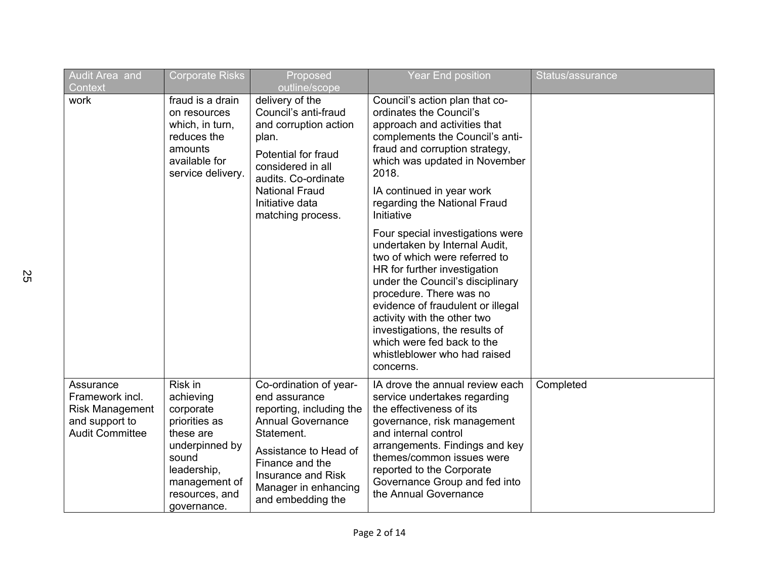| Audit Area and<br>Context                                                                          | <b>Corporate Risks</b>                                                                                                                                      | Proposed<br>outline/scope                                                                                                                                                                                                    | <b>Year End position</b>                                                                                                                                                                                                                                                                                                                                                                                                                                                                                                                                                                                                                                                  | Status/assurance |
|----------------------------------------------------------------------------------------------------|-------------------------------------------------------------------------------------------------------------------------------------------------------------|------------------------------------------------------------------------------------------------------------------------------------------------------------------------------------------------------------------------------|---------------------------------------------------------------------------------------------------------------------------------------------------------------------------------------------------------------------------------------------------------------------------------------------------------------------------------------------------------------------------------------------------------------------------------------------------------------------------------------------------------------------------------------------------------------------------------------------------------------------------------------------------------------------------|------------------|
| work                                                                                               | fraud is a drain<br>on resources<br>which, in turn,<br>reduces the<br>amounts<br>available for<br>service delivery.                                         | delivery of the<br>Council's anti-fraud<br>and corruption action<br>plan.<br>Potential for fraud<br>considered in all<br>audits. Co-ordinate<br><b>National Fraud</b><br>Initiative data<br>matching process.                | Council's action plan that co-<br>ordinates the Council's<br>approach and activities that<br>complements the Council's anti-<br>fraud and corruption strategy,<br>which was updated in November<br>2018.<br>IA continued in year work<br>regarding the National Fraud<br>Initiative<br>Four special investigations were<br>undertaken by Internal Audit,<br>two of which were referred to<br>HR for further investigation<br>under the Council's disciplinary<br>procedure. There was no<br>evidence of fraudulent or illegal<br>activity with the other two<br>investigations, the results of<br>which were fed back to the<br>whistleblower who had raised<br>concerns. |                  |
| Assurance<br>Framework incl.<br><b>Risk Management</b><br>and support to<br><b>Audit Committee</b> | Risk in<br>achieving<br>corporate<br>priorities as<br>these are<br>underpinned by<br>sound<br>leadership,<br>management of<br>resources, and<br>governance. | Co-ordination of year-<br>end assurance<br>reporting, including the<br><b>Annual Governance</b><br>Statement.<br>Assistance to Head of<br>Finance and the<br>Insurance and Risk<br>Manager in enhancing<br>and embedding the | IA drove the annual review each<br>service undertakes regarding<br>the effectiveness of its<br>governance, risk management<br>and internal control<br>arrangements. Findings and key<br>themes/common issues were<br>reported to the Corporate<br>Governance Group and fed into<br>the Annual Governance                                                                                                                                                                                                                                                                                                                                                                  | Completed        |

25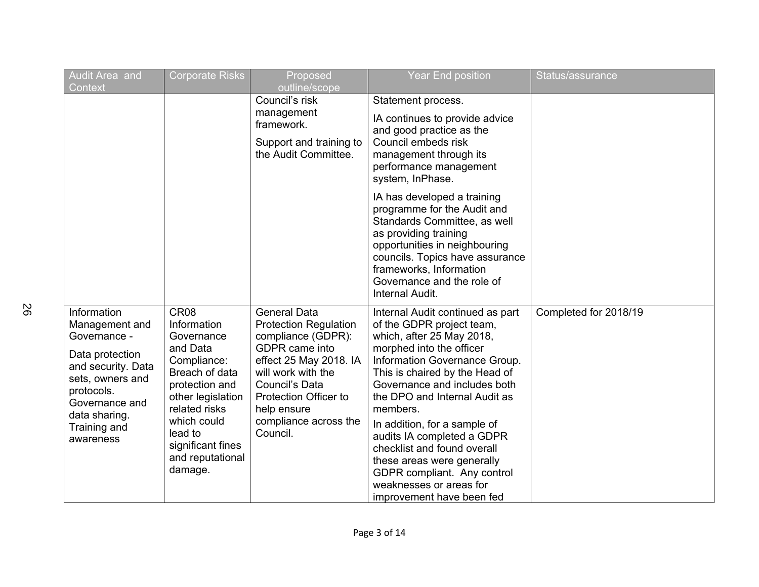| Audit Area and<br>Context                                                                                                                                                                | <b>Corporate Risks</b>                                                                                                                                                                                                           | Proposed<br>outline/scope                                                                                                                                                                                                                  | <b>Year End position</b>                                                                                                                                                                                                                                                                                                                                                                                                                                                                 | Status/assurance      |
|------------------------------------------------------------------------------------------------------------------------------------------------------------------------------------------|----------------------------------------------------------------------------------------------------------------------------------------------------------------------------------------------------------------------------------|--------------------------------------------------------------------------------------------------------------------------------------------------------------------------------------------------------------------------------------------|------------------------------------------------------------------------------------------------------------------------------------------------------------------------------------------------------------------------------------------------------------------------------------------------------------------------------------------------------------------------------------------------------------------------------------------------------------------------------------------|-----------------------|
|                                                                                                                                                                                          |                                                                                                                                                                                                                                  | Council's risk<br>management<br>framework.<br>Support and training to<br>the Audit Committee.                                                                                                                                              | Statement process.<br>IA continues to provide advice<br>and good practice as the<br>Council embeds risk<br>management through its<br>performance management<br>system, InPhase.                                                                                                                                                                                                                                                                                                          |                       |
|                                                                                                                                                                                          |                                                                                                                                                                                                                                  |                                                                                                                                                                                                                                            | IA has developed a training<br>programme for the Audit and<br>Standards Committee, as well<br>as providing training<br>opportunities in neighbouring<br>councils. Topics have assurance<br>frameworks, Information<br>Governance and the role of<br>Internal Audit.                                                                                                                                                                                                                      |                       |
| Information<br>Management and<br>Governance -<br>Data protection<br>and security. Data<br>sets, owners and<br>protocols.<br>Governance and<br>data sharing.<br>Training and<br>awareness | CR <sub>08</sub><br>Information<br>Governance<br>and Data<br>Compliance:<br>Breach of data<br>protection and<br>other legislation<br>related risks<br>which could<br>lead to<br>significant fines<br>and reputational<br>damage. | <b>General Data</b><br><b>Protection Regulation</b><br>compliance (GDPR):<br>GDPR came into<br>effect 25 May 2018. IA<br>will work with the<br>Council's Data<br>Protection Officer to<br>help ensure<br>compliance across the<br>Council. | Internal Audit continued as part<br>of the GDPR project team,<br>which, after 25 May 2018,<br>morphed into the officer<br>Information Governance Group.<br>This is chaired by the Head of<br>Governance and includes both<br>the DPO and Internal Audit as<br>members.<br>In addition, for a sample of<br>audits IA completed a GDPR<br>checklist and found overall<br>these areas were generally<br>GDPR compliant. Any control<br>weaknesses or areas for<br>improvement have been fed | Completed for 2018/19 |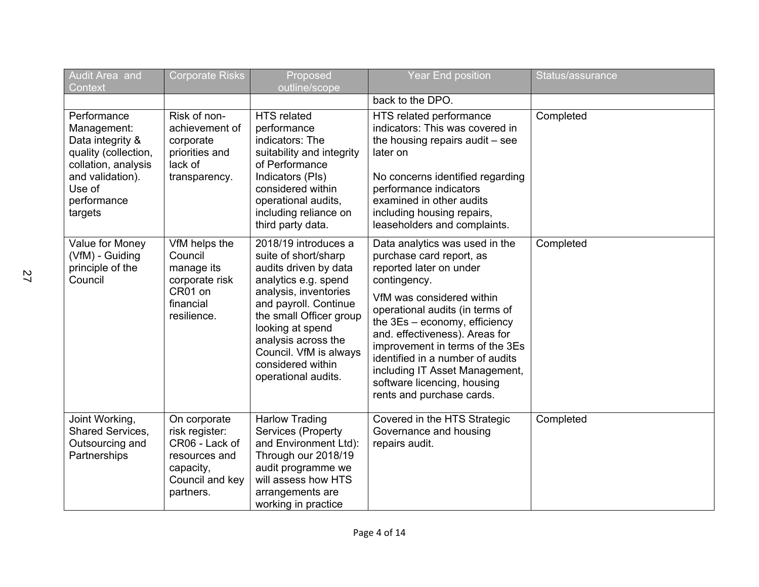| Audit Area and<br>Context                                                                                                                             | <b>Corporate Risks</b>                                                                                         | Proposed<br>outline/scope                                                                                                                                                                                                                                                                   | <b>Year End position</b>                                                                                                                                                                                                                                                                                                                                                                                         | Status/assurance |
|-------------------------------------------------------------------------------------------------------------------------------------------------------|----------------------------------------------------------------------------------------------------------------|---------------------------------------------------------------------------------------------------------------------------------------------------------------------------------------------------------------------------------------------------------------------------------------------|------------------------------------------------------------------------------------------------------------------------------------------------------------------------------------------------------------------------------------------------------------------------------------------------------------------------------------------------------------------------------------------------------------------|------------------|
|                                                                                                                                                       |                                                                                                                |                                                                                                                                                                                                                                                                                             | back to the DPO.                                                                                                                                                                                                                                                                                                                                                                                                 |                  |
| Performance<br>Management:<br>Data integrity &<br>quality (collection,<br>collation, analysis<br>and validation).<br>Use of<br>performance<br>targets | Risk of non-<br>achievement of<br>corporate<br>priorities and<br>lack of<br>transparency.                      | HTS related<br>performance<br>indicators: The<br>suitability and integrity<br>of Performance<br>Indicators (PIs)<br>considered within<br>operational audits,<br>including reliance on<br>third party data.                                                                                  | HTS related performance<br>indicators: This was covered in<br>the housing repairs audit - see<br>later on<br>No concerns identified regarding<br>performance indicators<br>examined in other audits<br>including housing repairs,<br>leaseholders and complaints.                                                                                                                                                | Completed        |
| Value for Money<br>(VfM) - Guiding<br>principle of the<br>Council                                                                                     | VfM helps the<br>Council<br>manage its<br>corporate risk<br>CR01 on<br>financial<br>resilience.                | 2018/19 introduces a<br>suite of short/sharp<br>audits driven by data<br>analytics e.g. spend<br>analysis, inventories<br>and payroll. Continue<br>the small Officer group<br>looking at spend<br>analysis across the<br>Council. VfM is always<br>considered within<br>operational audits. | Data analytics was used in the<br>purchase card report, as<br>reported later on under<br>contingency.<br>VfM was considered within<br>operational audits (in terms of<br>the $3Es - economy$ , efficiency<br>and. effectiveness). Areas for<br>improvement in terms of the 3Es<br>identified in a number of audits<br>including IT Asset Management,<br>software licencing, housing<br>rents and purchase cards. | Completed        |
| Joint Working,<br>Shared Services,<br>Outsourcing and<br>Partnerships                                                                                 | On corporate<br>risk register:<br>CR06 - Lack of<br>resources and<br>capacity,<br>Council and key<br>partners. | <b>Harlow Trading</b><br>Services (Property<br>and Environment Ltd):<br>Through our 2018/19<br>audit programme we<br>will assess how HTS<br>arrangements are<br>working in practice                                                                                                         | Covered in the HTS Strategic<br>Governance and housing<br>repairs audit.                                                                                                                                                                                                                                                                                                                                         | Completed        |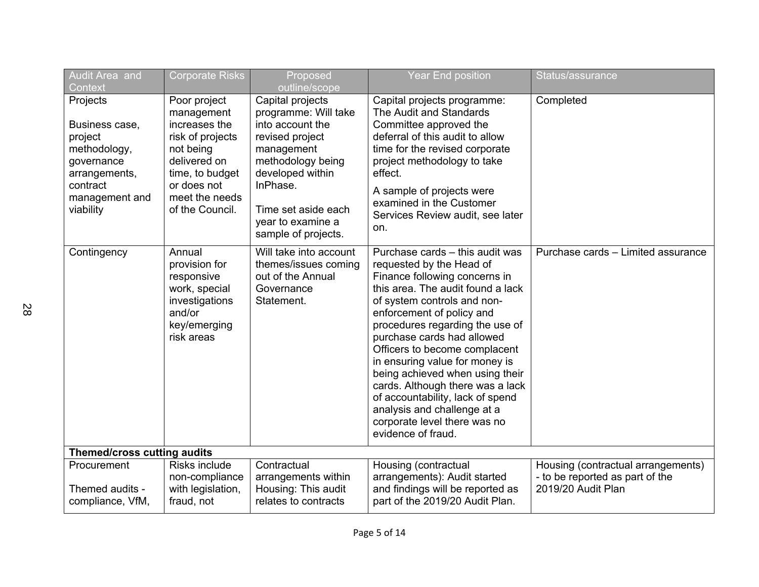| Audit Area and<br>Context                                                                                                       | <b>Corporate Risks</b>                                                                                                                                              | Proposed<br>outline/scope                                                                                                                                                                                             | <b>Year End position</b>                                                                                                                                                                                                                                                                                                                                                                                                                                                                                                          | Status/assurance                                                                            |
|---------------------------------------------------------------------------------------------------------------------------------|---------------------------------------------------------------------------------------------------------------------------------------------------------------------|-----------------------------------------------------------------------------------------------------------------------------------------------------------------------------------------------------------------------|-----------------------------------------------------------------------------------------------------------------------------------------------------------------------------------------------------------------------------------------------------------------------------------------------------------------------------------------------------------------------------------------------------------------------------------------------------------------------------------------------------------------------------------|---------------------------------------------------------------------------------------------|
| Projects<br>Business case,<br>project<br>methodology,<br>governance<br>arrangements,<br>contract<br>management and<br>viability | Poor project<br>management<br>increases the<br>risk of projects<br>not being<br>delivered on<br>time, to budget<br>or does not<br>meet the needs<br>of the Council. | Capital projects<br>programme: Will take<br>into account the<br>revised project<br>management<br>methodology being<br>developed within<br>InPhase.<br>Time set aside each<br>year to examine a<br>sample of projects. | Capital projects programme:<br>The Audit and Standards<br>Committee approved the<br>deferral of this audit to allow<br>time for the revised corporate<br>project methodology to take<br>effect.<br>A sample of projects were<br>examined in the Customer<br>Services Review audit, see later<br>on.                                                                                                                                                                                                                               | Completed                                                                                   |
| Contingency                                                                                                                     | Annual<br>provision for<br>responsive<br>work, special<br>investigations<br>and/or<br>key/emerging<br>risk areas                                                    | Will take into account<br>themes/issues coming<br>out of the Annual<br>Governance<br>Statement.                                                                                                                       | Purchase cards - this audit was<br>requested by the Head of<br>Finance following concerns in<br>this area. The audit found a lack<br>of system controls and non-<br>enforcement of policy and<br>procedures regarding the use of<br>purchase cards had allowed<br>Officers to become complacent<br>in ensuring value for money is<br>being achieved when using their<br>cards. Although there was a lack<br>of accountability, lack of spend<br>analysis and challenge at a<br>corporate level there was no<br>evidence of fraud. | Purchase cards - Limited assurance                                                          |
| Themed/cross cutting audits                                                                                                     |                                                                                                                                                                     |                                                                                                                                                                                                                       |                                                                                                                                                                                                                                                                                                                                                                                                                                                                                                                                   |                                                                                             |
| Procurement<br>Themed audits -<br>compliance, VfM,                                                                              | Risks include<br>non-compliance<br>with legislation,<br>fraud, not                                                                                                  | Contractual<br>arrangements within<br>Housing: This audit<br>relates to contracts                                                                                                                                     | Housing (contractual<br>arrangements): Audit started<br>and findings will be reported as<br>part of the 2019/20 Audit Plan.                                                                                                                                                                                                                                                                                                                                                                                                       | Housing (contractual arrangements)<br>- to be reported as part of the<br>2019/20 Audit Plan |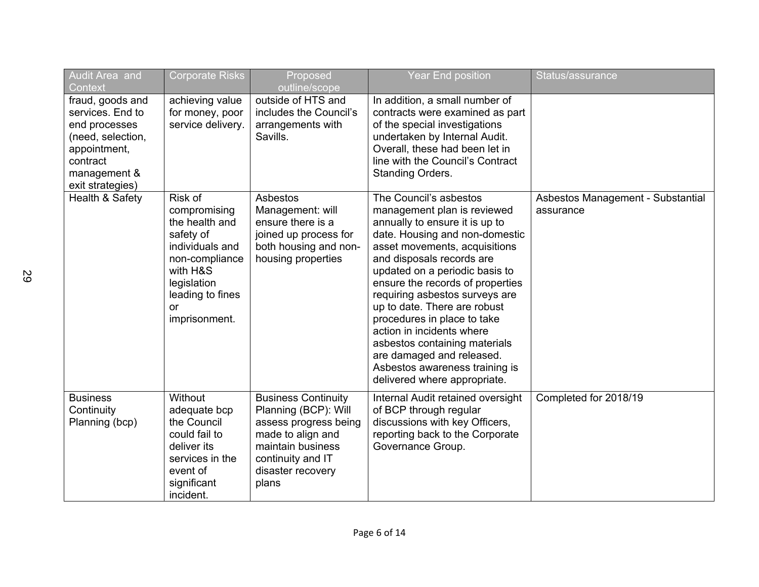| Audit Area and<br>Context                                                                                                                  | <b>Corporate Risks</b>                                                                                                                                            | Proposed<br>outline/scope                                                                                                                                                | <b>Year End position</b>                                                                                                                                                                                                                                                                                                                                                                                                                                                                                                    | Status/assurance                               |
|--------------------------------------------------------------------------------------------------------------------------------------------|-------------------------------------------------------------------------------------------------------------------------------------------------------------------|--------------------------------------------------------------------------------------------------------------------------------------------------------------------------|-----------------------------------------------------------------------------------------------------------------------------------------------------------------------------------------------------------------------------------------------------------------------------------------------------------------------------------------------------------------------------------------------------------------------------------------------------------------------------------------------------------------------------|------------------------------------------------|
| fraud, goods and<br>services. End to<br>end processes<br>(need, selection,<br>appointment,<br>contract<br>management &<br>exit strategies) | achieving value<br>for money, poor<br>service delivery.                                                                                                           | outside of HTS and<br>includes the Council's<br>arrangements with<br>Savills.                                                                                            | In addition, a small number of<br>contracts were examined as part<br>of the special investigations<br>undertaken by Internal Audit.<br>Overall, these had been let in<br>line with the Council's Contract<br>Standing Orders.                                                                                                                                                                                                                                                                                               |                                                |
| Health & Safety                                                                                                                            | Risk of<br>compromising<br>the health and<br>safety of<br>individuals and<br>non-compliance<br>with H&S<br>legislation<br>leading to fines<br>or<br>imprisonment. | Asbestos<br>Management: will<br>ensure there is a<br>joined up process for<br>both housing and non-<br>housing properties                                                | The Council's asbestos<br>management plan is reviewed<br>annually to ensure it is up to<br>date. Housing and non-domestic<br>asset movements, acquisitions<br>and disposals records are<br>updated on a periodic basis to<br>ensure the records of properties<br>requiring asbestos surveys are<br>up to date. There are robust<br>procedures in place to take<br>action in incidents where<br>asbestos containing materials<br>are damaged and released.<br>Asbestos awareness training is<br>delivered where appropriate. | Asbestos Management - Substantial<br>assurance |
| <b>Business</b><br>Continuity<br>Planning (bcp)                                                                                            | Without<br>adequate bcp<br>the Council<br>could fail to<br>deliver its<br>services in the<br>event of<br>significant<br>incident.                                 | <b>Business Continuity</b><br>Planning (BCP): Will<br>assess progress being<br>made to align and<br>maintain business<br>continuity and IT<br>disaster recovery<br>plans | Internal Audit retained oversight<br>of BCP through regular<br>discussions with key Officers,<br>reporting back to the Corporate<br>Governance Group.                                                                                                                                                                                                                                                                                                                                                                       | Completed for 2018/19                          |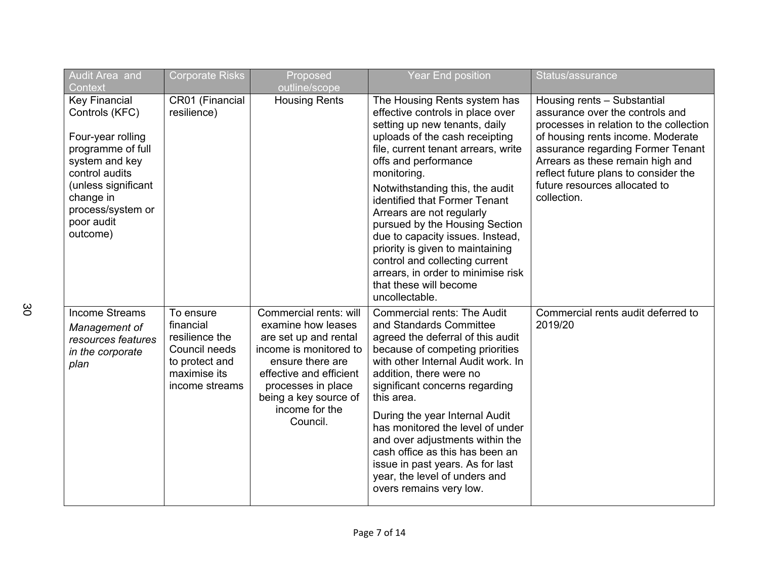| <b>Audit Area and</b><br>Context                                                                                                                                                                        | <b>Corporate Risks</b>                                                                                        | Proposed<br>outline/scope                                                                                                                                                                                                   | <b>Year End position</b>                                                                                                                                                                                                                                                                                                                                                                                                                                                                                                                         | Status/assurance                                                                                                                                                                                                                                                                                                |
|---------------------------------------------------------------------------------------------------------------------------------------------------------------------------------------------------------|---------------------------------------------------------------------------------------------------------------|-----------------------------------------------------------------------------------------------------------------------------------------------------------------------------------------------------------------------------|--------------------------------------------------------------------------------------------------------------------------------------------------------------------------------------------------------------------------------------------------------------------------------------------------------------------------------------------------------------------------------------------------------------------------------------------------------------------------------------------------------------------------------------------------|-----------------------------------------------------------------------------------------------------------------------------------------------------------------------------------------------------------------------------------------------------------------------------------------------------------------|
| <b>Key Financial</b><br>Controls (KFC)<br>Four-year rolling<br>programme of full<br>system and key<br>control audits<br>(unless significant<br>change in<br>process/system or<br>poor audit<br>outcome) | CR01 (Financial<br>resilience)                                                                                | <b>Housing Rents</b>                                                                                                                                                                                                        | The Housing Rents system has<br>effective controls in place over<br>setting up new tenants, daily<br>uploads of the cash receipting<br>file, current tenant arrears, write<br>offs and performance<br>monitoring.<br>Notwithstanding this, the audit<br>identified that Former Tenant<br>Arrears are not regularly<br>pursued by the Housing Section<br>due to capacity issues. Instead,<br>priority is given to maintaining<br>control and collecting current<br>arrears, in order to minimise risk<br>that these will become<br>uncollectable. | Housing rents - Substantial<br>assurance over the controls and<br>processes in relation to the collection<br>of housing rents income. Moderate<br>assurance regarding Former Tenant<br>Arrears as these remain high and<br>reflect future plans to consider the<br>future resources allocated to<br>collection. |
| Income Streams<br>Management of<br>resources features<br>in the corporate<br>plan                                                                                                                       | To ensure<br>financial<br>resilience the<br>Council needs<br>to protect and<br>maximise its<br>income streams | Commercial rents: will<br>examine how leases<br>are set up and rental<br>income is monitored to<br>ensure there are<br>effective and efficient<br>processes in place<br>being a key source of<br>income for the<br>Council. | <b>Commercial rents: The Audit</b><br>and Standards Committee<br>agreed the deferral of this audit<br>because of competing priorities<br>with other Internal Audit work. In<br>addition, there were no<br>significant concerns regarding<br>this area.<br>During the year Internal Audit<br>has monitored the level of under<br>and over adjustments within the<br>cash office as this has been an<br>issue in past years. As for last<br>year, the level of unders and<br>overs remains very low.                                               | Commercial rents audit deferred to<br>2019/20                                                                                                                                                                                                                                                                   |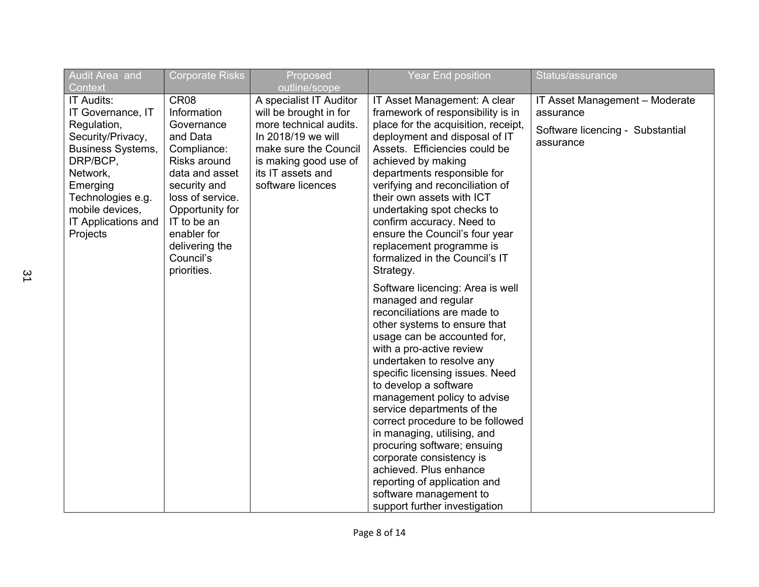| <b>Corporate Risks</b>                                                                                          | Proposed                                                                                                                                                                                                       | <b>Year End position</b>                                                                                                                                                                                                                                                    | Status/assurance                                                                                                                                                                                                                                                                                                             |
|-----------------------------------------------------------------------------------------------------------------|----------------------------------------------------------------------------------------------------------------------------------------------------------------------------------------------------------------|-----------------------------------------------------------------------------------------------------------------------------------------------------------------------------------------------------------------------------------------------------------------------------|------------------------------------------------------------------------------------------------------------------------------------------------------------------------------------------------------------------------------------------------------------------------------------------------------------------------------|
| CR <sub>08</sub><br>Information<br>Governance<br>and Data<br>Compliance:<br>Risks around<br>data and asset      | outline/scope<br>A specialist IT Auditor<br>will be brought in for<br>more technical audits.<br>In 2018/19 we will<br>make sure the Council<br>is making good use of<br>its IT assets and<br>software licences | IT Asset Management - Moderate<br>assurance<br>Software licencing - Substantial<br>assurance                                                                                                                                                                                |                                                                                                                                                                                                                                                                                                                              |
| loss of service.<br>Opportunity for<br>IT to be an<br>enabler for<br>delivering the<br>Council's<br>priorities. |                                                                                                                                                                                                                | their own assets with ICT<br>undertaking spot checks to<br>confirm accuracy. Need to<br>ensure the Council's four year<br>replacement programme is<br>formalized in the Council's IT<br>Strategy.                                                                           |                                                                                                                                                                                                                                                                                                                              |
|                                                                                                                 |                                                                                                                                                                                                                | Software licencing: Area is well<br>managed and regular<br>reconciliations are made to<br>other systems to ensure that<br>usage can be accounted for,<br>with a pro-active review<br>undertaken to resolve any<br>specific licensing issues. Need                           |                                                                                                                                                                                                                                                                                                                              |
|                                                                                                                 |                                                                                                                                                                                                                | management policy to advise<br>service departments of the<br>correct procedure to be followed<br>in managing, utilising, and<br>procuring software; ensuing<br>corporate consistency is<br>achieved. Plus enhance<br>reporting of application and<br>software management to |                                                                                                                                                                                                                                                                                                                              |
|                                                                                                                 | security and                                                                                                                                                                                                   |                                                                                                                                                                                                                                                                             | IT Asset Management: A clear<br>framework of responsibility is in<br>place for the acquisition, receipt,<br>deployment and disposal of IT<br>Assets. Efficiencies could be<br>achieved by making<br>departments responsible for<br>verifying and reconciliation of<br>to develop a software<br>support further investigation |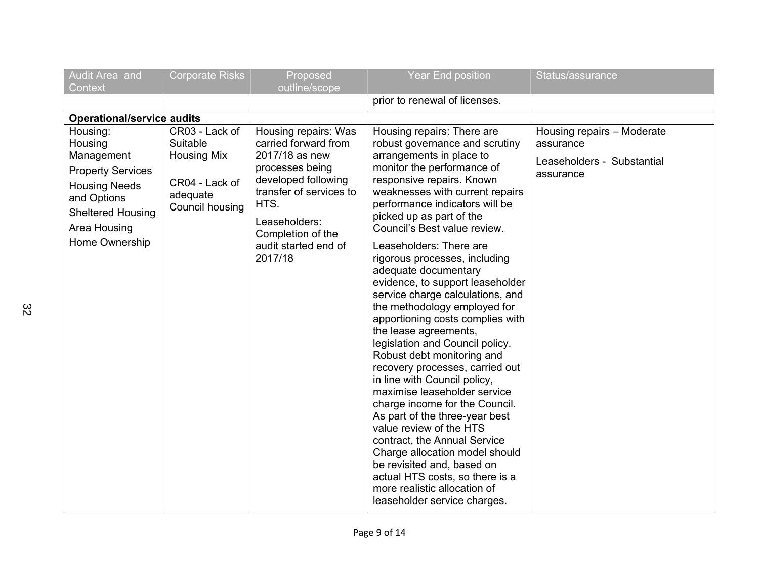| Audit Area and<br>Context                                                                                                                                          | <b>Corporate Risks</b>                                                                            | Proposed<br>outline/scope                                                                                                                                                                                            | <b>Year End position</b>                                                                                                                                                                                                                                                                                                                                                                                                                                                                                                                                                                                                                                                                                                                                                                                                                                                                                                                                                                                            | Status/assurance                                                                   |
|--------------------------------------------------------------------------------------------------------------------------------------------------------------------|---------------------------------------------------------------------------------------------------|----------------------------------------------------------------------------------------------------------------------------------------------------------------------------------------------------------------------|---------------------------------------------------------------------------------------------------------------------------------------------------------------------------------------------------------------------------------------------------------------------------------------------------------------------------------------------------------------------------------------------------------------------------------------------------------------------------------------------------------------------------------------------------------------------------------------------------------------------------------------------------------------------------------------------------------------------------------------------------------------------------------------------------------------------------------------------------------------------------------------------------------------------------------------------------------------------------------------------------------------------|------------------------------------------------------------------------------------|
|                                                                                                                                                                    |                                                                                                   |                                                                                                                                                                                                                      | prior to renewal of licenses.                                                                                                                                                                                                                                                                                                                                                                                                                                                                                                                                                                                                                                                                                                                                                                                                                                                                                                                                                                                       |                                                                                    |
| <b>Operational/service audits</b>                                                                                                                                  |                                                                                                   |                                                                                                                                                                                                                      |                                                                                                                                                                                                                                                                                                                                                                                                                                                                                                                                                                                                                                                                                                                                                                                                                                                                                                                                                                                                                     |                                                                                    |
| Housing:<br>Housing<br>Management<br><b>Property Services</b><br><b>Housing Needs</b><br>and Options<br><b>Sheltered Housing</b><br>Area Housing<br>Home Ownership | CR03 - Lack of<br>Suitable<br><b>Housing Mix</b><br>CR04 - Lack of<br>adequate<br>Council housing | Housing repairs: Was<br>carried forward from<br>2017/18 as new<br>processes being<br>developed following<br>transfer of services to<br>HTS.<br>Leaseholders:<br>Completion of the<br>audit started end of<br>2017/18 | Housing repairs: There are<br>robust governance and scrutiny<br>arrangements in place to<br>monitor the performance of<br>responsive repairs. Known<br>weaknesses with current repairs<br>performance indicators will be<br>picked up as part of the<br>Council's Best value review.<br>Leaseholders: There are<br>rigorous processes, including<br>adequate documentary<br>evidence, to support leaseholder<br>service charge calculations, and<br>the methodology employed for<br>apportioning costs complies with<br>the lease agreements,<br>legislation and Council policy.<br>Robust debt monitoring and<br>recovery processes, carried out<br>in line with Council policy,<br>maximise leaseholder service<br>charge income for the Council.<br>As part of the three-year best<br>value review of the HTS<br>contract, the Annual Service<br>Charge allocation model should<br>be revisited and, based on<br>actual HTS costs, so there is a<br>more realistic allocation of<br>leaseholder service charges. | Housing repairs - Moderate<br>assurance<br>Leaseholders - Substantial<br>assurance |

 $\frac{2}{2}$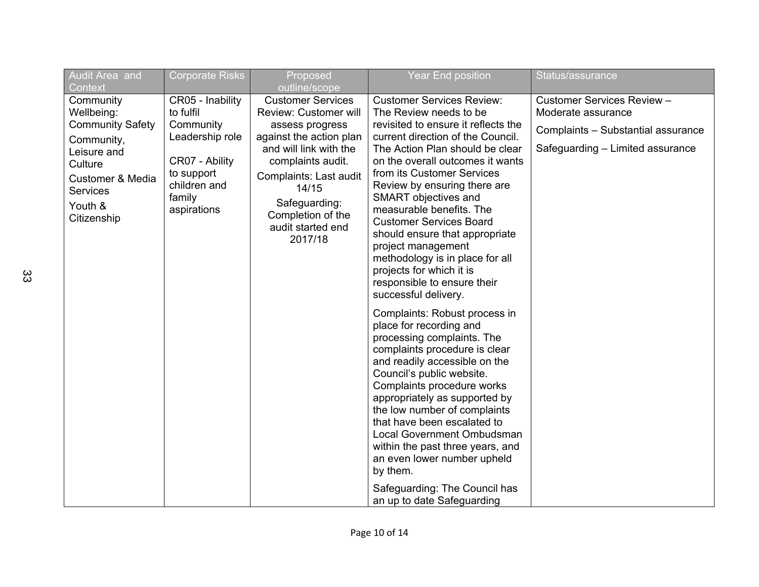| Audit Area and                                                                                                            | <b>Corporate Risks</b>                                                                                                                                                                                                                                                                                                                                                                                                                                                                                                                    | Proposed                                                                    | <b>Year End position</b>                                                                                                                                                                                                                                                                                                                                                                                                                | Status/assurance                                                                                                           |
|---------------------------------------------------------------------------------------------------------------------------|-------------------------------------------------------------------------------------------------------------------------------------------------------------------------------------------------------------------------------------------------------------------------------------------------------------------------------------------------------------------------------------------------------------------------------------------------------------------------------------------------------------------------------------------|-----------------------------------------------------------------------------|-----------------------------------------------------------------------------------------------------------------------------------------------------------------------------------------------------------------------------------------------------------------------------------------------------------------------------------------------------------------------------------------------------------------------------------------|----------------------------------------------------------------------------------------------------------------------------|
| Context<br>Community<br>Wellbeing:<br><b>Community Safety</b><br>Community,<br>Leisure and<br>Culture<br>Customer & Media | outline/scope<br>CR05 - Inability<br><b>Customer Services</b><br><b>Customer Services Review:</b><br>to fulfil<br>Review: Customer will<br>The Review needs to be<br>Community<br>revisited to ensure it reflects the<br>assess progress<br>Leadership role<br>against the action plan<br>current direction of the Council.<br>and will link with the<br>The Action Plan should be clear<br>CR07 - Ability<br>complaints audit.<br>on the overall outcomes it wants<br>from its Customer Services<br>to support<br>Complaints: Last audit |                                                                             |                                                                                                                                                                                                                                                                                                                                                                                                                                         | Customer Services Review -<br>Moderate assurance<br>Complaints - Substantial assurance<br>Safeguarding - Limited assurance |
| <b>Services</b><br>Youth &<br>Citizenship                                                                                 | children and<br>family<br>aspirations                                                                                                                                                                                                                                                                                                                                                                                                                                                                                                     | 14/15<br>Safeguarding:<br>Completion of the<br>audit started end<br>2017/18 | Review by ensuring there are<br>SMART objectives and<br>measurable benefits. The<br><b>Customer Services Board</b><br>should ensure that appropriate<br>project management<br>methodology is in place for all<br>projects for which it is<br>responsible to ensure their<br>successful delivery.                                                                                                                                        |                                                                                                                            |
|                                                                                                                           |                                                                                                                                                                                                                                                                                                                                                                                                                                                                                                                                           |                                                                             | Complaints: Robust process in<br>place for recording and<br>processing complaints. The<br>complaints procedure is clear<br>and readily accessible on the<br>Council's public website.<br>Complaints procedure works<br>appropriately as supported by<br>the low number of complaints<br>that have been escalated to<br><b>Local Government Ombudsman</b><br>within the past three years, and<br>an even lower number upheld<br>by them. |                                                                                                                            |
|                                                                                                                           |                                                                                                                                                                                                                                                                                                                                                                                                                                                                                                                                           |                                                                             | Safeguarding: The Council has<br>an up to date Safeguarding                                                                                                                                                                                                                                                                                                                                                                             |                                                                                                                            |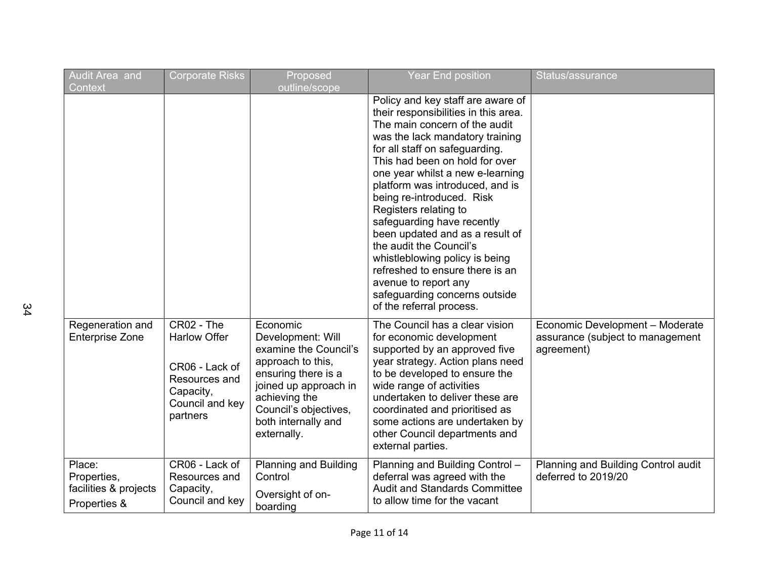| Audit Area and<br>Context                                      | <b>Corporate Risks</b>                                                                                           | Proposed<br>outline/scope                                                                                                                                                                                   | <b>Year End position</b>                                                                                                                                                                                                                                                                                                                                                                                                                                                                                                                                                                             | Status/assurance                                                                  |
|----------------------------------------------------------------|------------------------------------------------------------------------------------------------------------------|-------------------------------------------------------------------------------------------------------------------------------------------------------------------------------------------------------------|------------------------------------------------------------------------------------------------------------------------------------------------------------------------------------------------------------------------------------------------------------------------------------------------------------------------------------------------------------------------------------------------------------------------------------------------------------------------------------------------------------------------------------------------------------------------------------------------------|-----------------------------------------------------------------------------------|
|                                                                |                                                                                                                  |                                                                                                                                                                                                             | Policy and key staff are aware of<br>their responsibilities in this area.<br>The main concern of the audit<br>was the lack mandatory training<br>for all staff on safeguarding.<br>This had been on hold for over<br>one year whilst a new e-learning<br>platform was introduced, and is<br>being re-introduced. Risk<br>Registers relating to<br>safeguarding have recently<br>been updated and as a result of<br>the audit the Council's<br>whistleblowing policy is being<br>refreshed to ensure there is an<br>avenue to report any<br>safeguarding concerns outside<br>of the referral process. |                                                                                   |
| Regeneration and<br><b>Enterprise Zone</b>                     | CR02 - The<br><b>Harlow Offer</b><br>CR06 - Lack of<br>Resources and<br>Capacity,<br>Council and key<br>partners | Economic<br>Development: Will<br>examine the Council's<br>approach to this,<br>ensuring there is a<br>joined up approach in<br>achieving the<br>Council's objectives,<br>both internally and<br>externally. | The Council has a clear vision<br>for economic development<br>supported by an approved five<br>year strategy. Action plans need<br>to be developed to ensure the<br>wide range of activities<br>undertaken to deliver these are<br>coordinated and prioritised as<br>some actions are undertaken by<br>other Council departments and<br>external parties.                                                                                                                                                                                                                                            | Economic Development - Moderate<br>assurance (subject to management<br>agreement) |
| Place:<br>Properties,<br>facilities & projects<br>Properties & | CR06 - Lack of<br>Resources and<br>Capacity,<br>Council and key                                                  | <b>Planning and Building</b><br>Control<br>Oversight of on-<br>boarding                                                                                                                                     | Planning and Building Control -<br>deferral was agreed with the<br><b>Audit and Standards Committee</b><br>to allow time for the vacant                                                                                                                                                                                                                                                                                                                                                                                                                                                              | Planning and Building Control audit<br>deferred to 2019/20                        |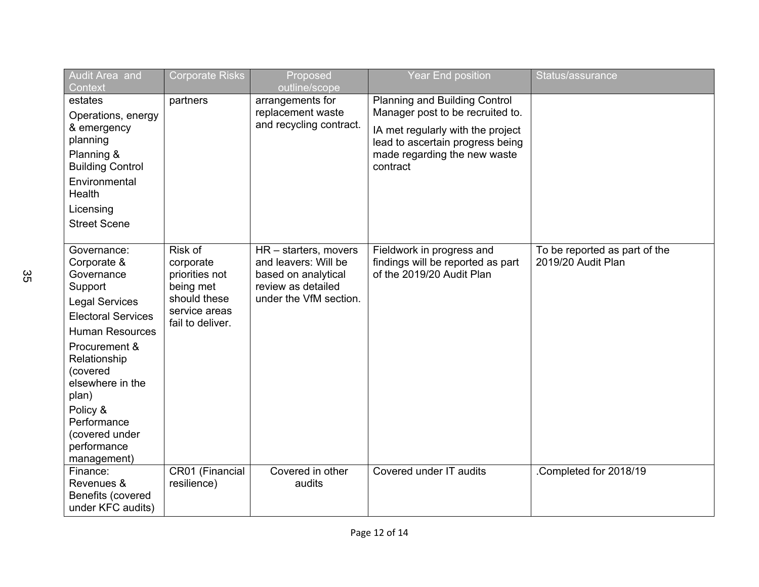| Audit Area and<br>Context                                                                                                                                                                                                                                                                | Corporate Risks                                                                                          | Proposed<br>outline/scope                                                                                            | Year End position                                                                                                                                                                      | Status/assurance                                    |
|------------------------------------------------------------------------------------------------------------------------------------------------------------------------------------------------------------------------------------------------------------------------------------------|----------------------------------------------------------------------------------------------------------|----------------------------------------------------------------------------------------------------------------------|----------------------------------------------------------------------------------------------------------------------------------------------------------------------------------------|-----------------------------------------------------|
| estates<br>Operations, energy<br>& emergency<br>planning<br>Planning &<br><b>Building Control</b><br>Environmental<br>Health<br>Licensing<br><b>Street Scene</b>                                                                                                                         | partners                                                                                                 | arrangements for<br>replacement waste<br>and recycling contract.                                                     | Planning and Building Control<br>Manager post to be recruited to.<br>IA met regularly with the project<br>lead to ascertain progress being<br>made regarding the new waste<br>contract |                                                     |
| Governance:<br>Corporate &<br>Governance<br>Support<br><b>Legal Services</b><br><b>Electoral Services</b><br><b>Human Resources</b><br>Procurement &<br>Relationship<br>(covered<br>elsewhere in the<br>plan)<br>Policy &<br>Performance<br>(covered under<br>performance<br>management) | Risk of<br>corporate<br>priorities not<br>being met<br>should these<br>service areas<br>fail to deliver. | HR - starters, movers<br>and leavers: Will be<br>based on analytical<br>review as detailed<br>under the VfM section. | Fieldwork in progress and<br>findings will be reported as part<br>of the 2019/20 Audit Plan                                                                                            | To be reported as part of the<br>2019/20 Audit Plan |
| Finance:<br>Revenues &<br>Benefits (covered<br>under KFC audits)                                                                                                                                                                                                                         | CR01 (Financial<br>resilience)                                                                           | Covered in other<br>audits                                                                                           | Covered under IT audits                                                                                                                                                                | Completed for 2018/19                               |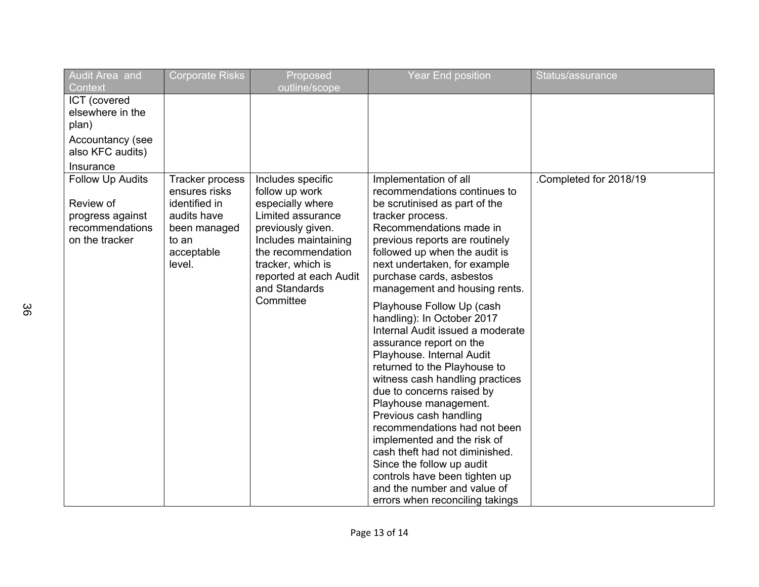| Audit Area and<br>Context                                                              | <b>Corporate Risks</b>                                                                                            | Proposed<br>outline/scope                                                                                                                                                                                                    | <b>Year End position</b>                                                                                                                                                                                                                                                                                                                                                                                                                 | Status/assurance       |
|----------------------------------------------------------------------------------------|-------------------------------------------------------------------------------------------------------------------|------------------------------------------------------------------------------------------------------------------------------------------------------------------------------------------------------------------------------|------------------------------------------------------------------------------------------------------------------------------------------------------------------------------------------------------------------------------------------------------------------------------------------------------------------------------------------------------------------------------------------------------------------------------------------|------------------------|
| ICT (covered<br>elsewhere in the<br>plan)<br>Accountancy (see<br>also KFC audits)      |                                                                                                                   |                                                                                                                                                                                                                              |                                                                                                                                                                                                                                                                                                                                                                                                                                          |                        |
| Insurance                                                                              |                                                                                                                   |                                                                                                                                                                                                                              |                                                                                                                                                                                                                                                                                                                                                                                                                                          |                        |
| Follow Up Audits<br>Review of<br>progress against<br>recommendations<br>on the tracker | Tracker process<br>ensures risks<br>identified in<br>audits have<br>been managed<br>to an<br>acceptable<br>level. | Includes specific<br>follow up work<br>especially where<br>Limited assurance<br>previously given.<br>Includes maintaining<br>the recommendation<br>tracker, which is<br>reported at each Audit<br>and Standards<br>Committee | Implementation of all<br>recommendations continues to<br>be scrutinised as part of the<br>tracker process.<br>Recommendations made in<br>previous reports are routinely<br>followed up when the audit is<br>next undertaken, for example<br>purchase cards, asbestos<br>management and housing rents.<br>Playhouse Follow Up (cash<br>handling): In October 2017<br>Internal Audit issued a moderate                                     | .Completed for 2018/19 |
|                                                                                        |                                                                                                                   |                                                                                                                                                                                                                              | assurance report on the<br>Playhouse. Internal Audit<br>returned to the Playhouse to<br>witness cash handling practices<br>due to concerns raised by<br>Playhouse management.<br>Previous cash handling<br>recommendations had not been<br>implemented and the risk of<br>cash theft had not diminished.<br>Since the follow up audit<br>controls have been tighten up<br>and the number and value of<br>errors when reconciling takings |                        |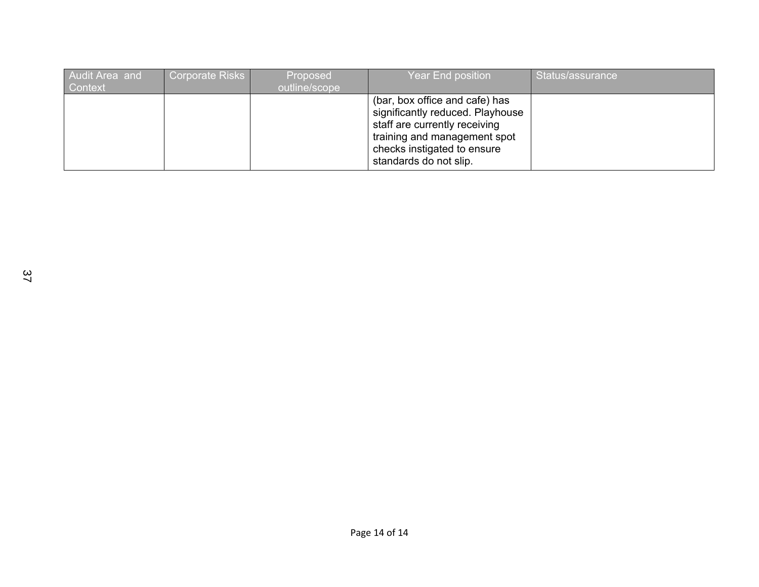| Audit Area and<br><b>Context</b> | Corporate Risks | Proposed<br>outline/scope | Year End position                                                                                                                                                                            | Status/assurance |
|----------------------------------|-----------------|---------------------------|----------------------------------------------------------------------------------------------------------------------------------------------------------------------------------------------|------------------|
|                                  |                 |                           | (bar, box office and cafe) has<br>significantly reduced. Playhouse<br>staff are currently receiving<br>training and management spot<br>checks instigated to ensure<br>standards do not slip. |                  |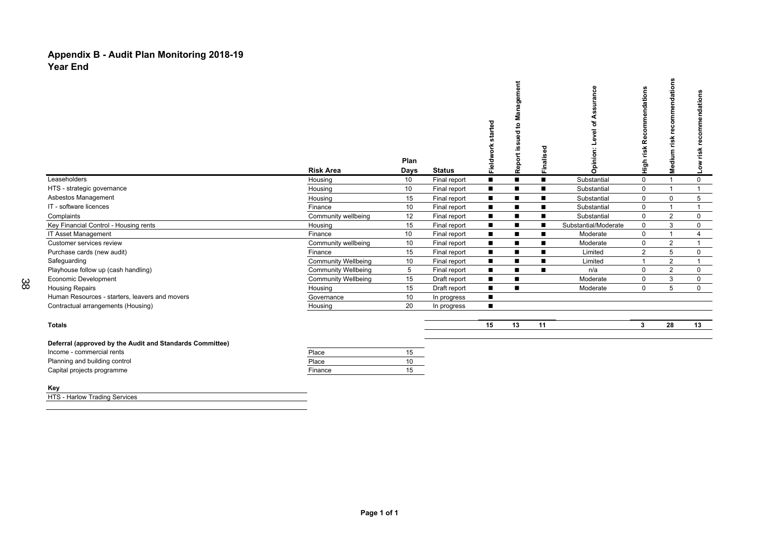#### **Appendix B - Audit Plan Monitoring 2018-19 Year End**

|                                                           | <b>Risk Area</b>           | Plan<br>Days    | <b>Status</b> | started<br>Fieldwork | agement<br>ಹ<br>Σ<br>៓<br>ъ<br>ω<br>m<br><b>SC</b><br>Report | Finalised | es<br>Ce<br>nion<br>ō<br>$\bar{\sigma}$ | ations<br>ಕ<br>ñ<br>risk<br>들 | ations<br>혼<br>œ<br>c<br>မ္မ<br>녽<br>Ť<br>Medi | dations<br>risk<br>š |
|-----------------------------------------------------------|----------------------------|-----------------|---------------|----------------------|--------------------------------------------------------------|-----------|-----------------------------------------|-------------------------------|------------------------------------------------|----------------------|
| Leaseholders                                              | Housing                    | 10              | Final report  |                      | п                                                            | ■         | Substantial                             | 0                             |                                                | $\mathbf 0$          |
| HTS - strategic governance                                | Housing                    | 10              | Final report  | $\blacksquare$       | п                                                            | ■         | Substantial                             | $\mathbf 0$                   | 1                                              |                      |
| Asbestos Management                                       | Housing                    | 15              | Final report  | ■                    | П                                                            |           | Substantial                             | 0                             | 0                                              | 5                    |
| IT - software licences                                    | Finance                    | 10              | Final report  | п                    | п                                                            | ▬         | Substantial                             | $\mathbf 0$                   | $\overline{ }$                                 |                      |
| Complaints                                                | Community wellbeing        | 12              | Final report  |                      | П                                                            |           | Substantial                             | $\mathbf{0}$                  | $\overline{2}$                                 | $\mathbf 0$          |
| Key Financial Control - Housing rents                     | Housing                    | 15              | Final report  |                      | $\blacksquare$                                               |           | Substantial/Moderate                    | $\mathbf 0$                   | 3                                              | $\mathbf 0$          |
| <b>IT Asset Management</b>                                | Finance                    | 10 <sup>°</sup> | Final report  | П                    | п                                                            | ■         | Moderate                                | 0                             |                                                | 4                    |
| Customer services review                                  | Community wellbeing        | 10              | Final report  | Г                    | $\blacksquare$                                               |           | Moderate                                | $\mathbf{0}$                  | $\overline{2}$                                 |                      |
| Purchase cards (new audit)                                | Finance                    | 15              | Final report  | г                    | п                                                            |           | Limited                                 | $\overline{2}$                | 5                                              | 0                    |
| Safeguarding                                              | <b>Community Wellbeing</b> | 10              | Final report  | П                    | $\blacksquare$                                               |           | Limited                                 |                               | $\overline{2}$                                 |                      |
| Playhouse follow up (cash handling)                       | <b>Community Wellbeing</b> | 5               | Final report  | п                    | п                                                            |           | n/a                                     | 0                             | $\overline{2}$                                 | $\mathbf 0$          |
| <b>Economic Development</b>                               | <b>Community Wellbeing</b> | 15              | Draft report  |                      | п                                                            |           | Moderate                                | 0                             | 3                                              | 0                    |
| <b>Housing Repairs</b>                                    | Housing                    | 15              | Draft report  | $\blacksquare$       | $\blacksquare$                                               |           | Moderate                                | $\mathbf 0$                   | 5                                              | $\mathbf{0}$         |
| Human Resources - starters, leavers and movers            | Governance                 | 10              | In progress   |                      |                                                              |           |                                         |                               |                                                |                      |
| Contractual arrangements (Housing)                        | Housing                    | 20              | In progress   | $\blacksquare$       |                                                              |           |                                         |                               |                                                |                      |
| <b>Totals</b>                                             |                            |                 |               | 15                   | 13                                                           | 11        |                                         | 3                             | 28                                             | 13                   |
| Deferred (convenied by the Audit and Ctenderds Committee) |                            |                 |               |                      |                                                              |           |                                         |                               |                                                |                      |

| Deferral (approved by the Audit and Standards Committee) |         |    |
|----------------------------------------------------------|---------|----|
| Income - commercial rents                                | Place   | 15 |
| Planning and building control                            | Place   | 10 |
| Capital projects programme                               | Finance | 15 |
|                                                          |         |    |

#### **Key**

38

**HTS - Harlow Trading Services**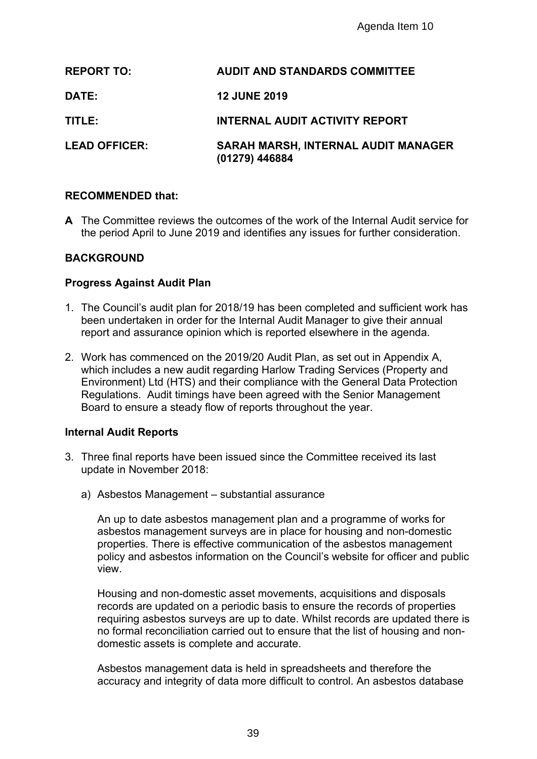|                                                | Agenda Item 10                                                                                                                                                                                                                                                                                                                                                                      |
|------------------------------------------------|-------------------------------------------------------------------------------------------------------------------------------------------------------------------------------------------------------------------------------------------------------------------------------------------------------------------------------------------------------------------------------------|
| <b>REPORT TO:</b>                              | <b>AUDIT AND STANDARDS COMMITTEE</b>                                                                                                                                                                                                                                                                                                                                                |
| DATE:                                          | <b>12 JUNE 2019</b>                                                                                                                                                                                                                                                                                                                                                                 |
| TITLE:                                         | <b>INTERNAL AUDIT ACTIVITY REPORT</b>                                                                                                                                                                                                                                                                                                                                               |
| <b>LEAD OFFICER:</b>                           | <b>SARAH MARSH, INTERNAL AUDIT MANAGER</b><br>(01279) 446884                                                                                                                                                                                                                                                                                                                        |
| <b>RECOMMENDED that:</b>                       |                                                                                                                                                                                                                                                                                                                                                                                     |
|                                                | A The Committee reviews the outcomes of the work of the Internal Audit service<br>the period April to June 2019 and identifies any issues for further consideration                                                                                                                                                                                                                 |
| <b>BACKGROUND</b>                              |                                                                                                                                                                                                                                                                                                                                                                                     |
| <b>Progress Against Audit Plan</b>             |                                                                                                                                                                                                                                                                                                                                                                                     |
|                                                | 1. The Council's audit plan for 2018/19 has been completed and sufficient work I<br>been undertaken in order for the Internal Audit Manager to give their annual<br>report and assurance opinion which is reported elsewhere in the agenda.                                                                                                                                         |
|                                                | 2. Work has commenced on the 2019/20 Audit Plan, as set out in Appendix A,<br>which includes a new audit regarding Harlow Trading Services (Property and<br>Environment) Ltd (HTS) and their compliance with the General Data Protection<br>Regulations. Audit timings have been agreed with the Senior Management<br>Board to ensure a steady flow of reports throughout the year. |
| <b>Internal Audit Reports</b>                  |                                                                                                                                                                                                                                                                                                                                                                                     |
| update in November 2018:                       | 3. Three final reports have been issued since the Committee received its last                                                                                                                                                                                                                                                                                                       |
| a) Asbestos Management – substantial assurance |                                                                                                                                                                                                                                                                                                                                                                                     |
| view.                                          | An up to date asbestos management plan and a programme of works for<br>asbestos management surveys are in place for housing and non-domestic<br>properties. There is effective communication of the asbestos management<br>policy and asbestos information on the Council's website for officer and pu                                                                              |
| domestic assets is complete and accurate.      | Housing and non-domestic asset movements, acquisitions and disposals<br>records are updated on a periodic basis to ensure the records of properties<br>requiring asbestos surveys are up to date. Whilst records are updated ther<br>no formal reconciliation carried out to ensure that the list of housing and no                                                                 |
|                                                | Asbestos management data is held in spreadsheets and therefore the<br>accuracy and integrity of data more difficult to control. An asbestos databa                                                                                                                                                                                                                                  |
|                                                | 39                                                                                                                                                                                                                                                                                                                                                                                  |

#### **RECOMMENDED that:**

#### **BACKGROUND**

#### **Progress Against Audit Plan**

- 1. The Council's audit plan for 2018/19 has been completed and sufficient work has been undertaken in order for the Internal Audit Manager to give their annual report and assurance opinion which is reported elsewhere in the agenda.
- 2. Work has commenced on the 2019/20 Audit Plan, as set out in Appendix A, which includes a new audit regarding Harlow Trading Services (Property and Environment) Ltd (HTS) and their compliance with the General Data Protection Regulations. Audit timings have been agreed with the Senior Management Board to ensure a steady flow of reports throughout the year.

#### **Internal Audit Reports**

- 3. Three final reports have been issued since the Committee received its last update in November 2018:
	- a) Asbestos Management substantial assurance

Housing and non-domestic asset movements, acquisitions and disposals records are updated on a periodic basis to ensure the records of properties requiring asbestos surveys are up to date. Whilst records are updated there is no formal reconciliation carried out to ensure that the list of housing and nondomestic assets is complete and accurate.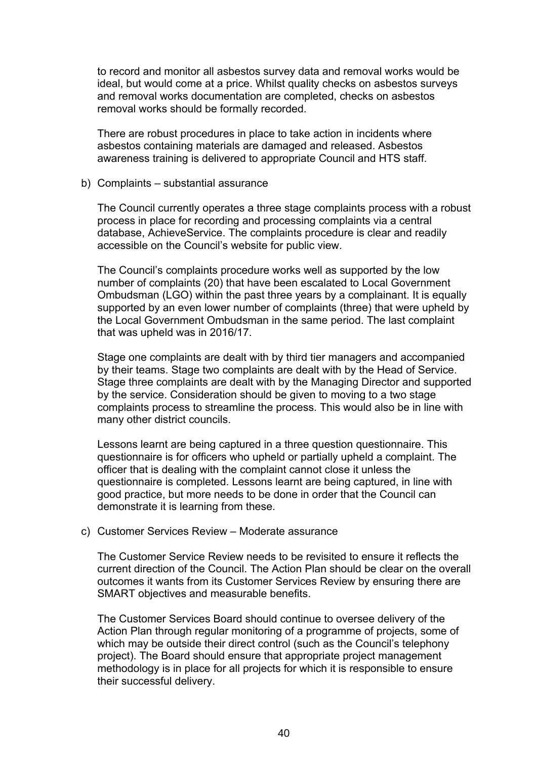to record and monitor all asbestos survey data and removal works would be ideal, but would come at a price. Whilst quality checks on asbestos surveys and removal works documentation are completed, checks on asbestos removal works should be formally recorded.

There are robust procedures in place to take action in incidents where asbestos containing materials are damaged and released. Asbestos awareness training is delivered to appropriate Council and HTS staff.

#### b) Complaints – substantial assurance

The Council currently operates a three stage complaints process with a robust process in place for recording and processing complaints via a central database, AchieveService. The complaints procedure is clear and readily accessible on the Council's website for public view.

The Council's complaints procedure works well as supported by the low number of complaints (20) that have been escalated to Local Government Ombudsman (LGO) within the past three years by a complainant. It is equally supported by an even lower number of complaints (three) that were upheld by the Local Government Ombudsman in the same period. The last complaint that was upheld was in 2016/17.

Stage one complaints are dealt with by third tier managers and accompanied by their teams. Stage two complaints are dealt with by the Head of Service. Stage three complaints are dealt with by the Managing Director and supported by the service. Consideration should be given to moving to a two stage complaints process to streamline the process. This would also be in line with many other district councils.

Lessons learnt are being captured in a three question questionnaire. This questionnaire is for officers who upheld or partially upheld a complaint. The officer that is dealing with the complaint cannot close it unless the questionnaire is completed. Lessons learnt are being captured, in line with good practice, but more needs to be done in order that the Council can demonstrate it is learning from these.

#### c) Customer Services Review – Moderate assurance

The Customer Service Review needs to be revisited to ensure it reflects the current direction of the Council. The Action Plan should be clear on the overall outcomes it wants from its Customer Services Review by ensuring there are SMART objectives and measurable benefits.

The Customer Services Board should continue to oversee delivery of the Action Plan through regular monitoring of a programme of projects, some of which may be outside their direct control (such as the Council's telephony project). The Board should ensure that appropriate project management methodology is in place for all projects for which it is responsible to ensure their successful delivery.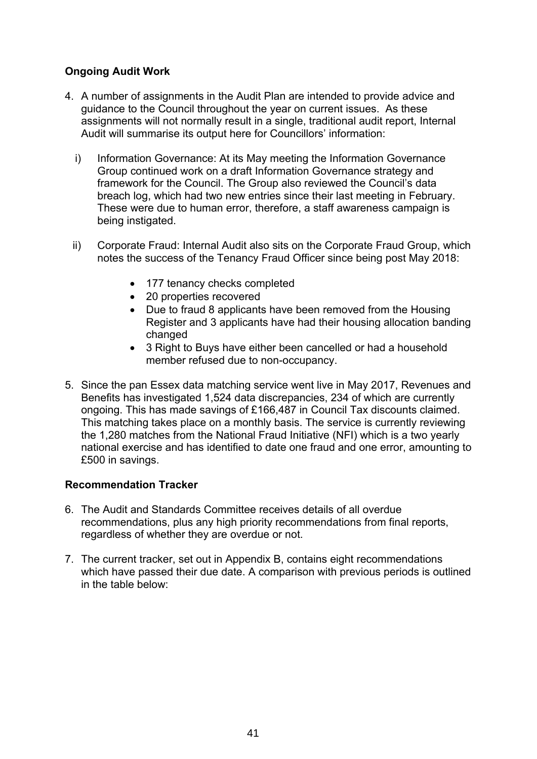## **Ongoing Audit Work**

- 4. A number of assignments in the Audit Plan are intended to provide advice and guidance to the Council throughout the year on current issues. As these assignments will not normally result in a single, traditional audit report, Internal Audit will summarise its output here for Councillors' information:
	- i) Information Governance: At its May meeting the Information Governance Group continued work on a draft Information Governance strategy and framework for the Council. The Group also reviewed the Council's data breach log, which had two new entries since their last meeting in February. These were due to human error, therefore, a staff awareness campaign is being instigated.
	- ii) Corporate Fraud: Internal Audit also sits on the Corporate Fraud Group, which notes the success of the Tenancy Fraud Officer since being post May 2018:
		- 177 tenancy checks completed
		- 20 properties recovered
		- Due to fraud 8 applicants have been removed from the Housing Register and 3 applicants have had their housing allocation banding changed
		- 3 Right to Buys have either been cancelled or had a household member refused due to non-occupancy.
- 5. Since the pan Essex data matching service went live in May 2017, Revenues and Benefits has investigated 1,524 data discrepancies, 234 of which are currently ongoing. This has made savings of £166,487 in Council Tax discounts claimed. This matching takes place on a monthly basis. The service is currently reviewing the 1,280 matches from the National Fraud Initiative (NFI) which is a two yearly national exercise and has identified to date one fraud and one error, amounting to £500 in savings.

#### **Recommendation Tracker**

- 6. The Audit and Standards Committee receives details of all overdue recommendations, plus any high priority recommendations from final reports, regardless of whether they are overdue or not.
- 7. The current tracker, set out in Appendix B, contains eight recommendations which have passed their due date. A comparison with previous periods is outlined in the table below: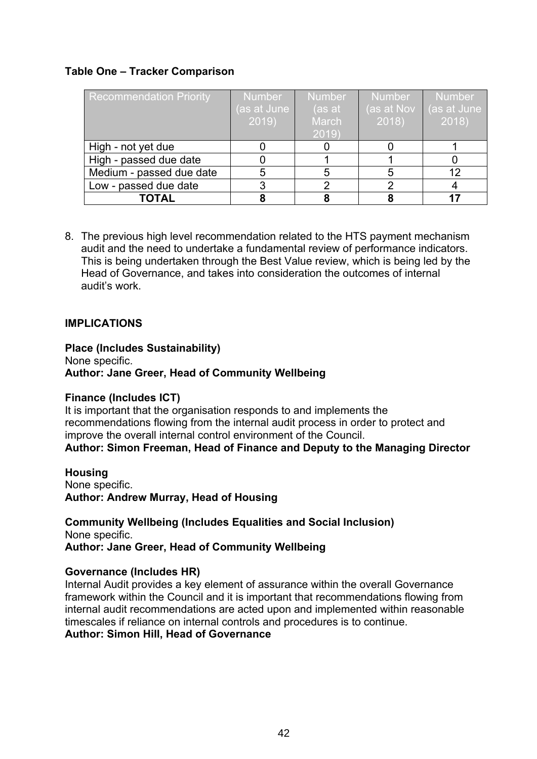#### **Table One – Tracker Comparison**

| <b>Recommendation Priority</b> | <b>Number</b><br>(as at June<br>2019 | <b>Number</b><br>(as at<br>March<br>2019 | <b>Number</b><br>(as at Nov<br>2018 | Number<br>(as at June<br>2018 |
|--------------------------------|--------------------------------------|------------------------------------------|-------------------------------------|-------------------------------|
| High - not yet due             |                                      |                                          |                                     |                               |
| High - passed due date         |                                      |                                          |                                     |                               |
| Medium - passed due date       |                                      |                                          |                                     | 12                            |
| Low - passed due date          |                                      |                                          |                                     |                               |
| <b>TOTAL</b>                   |                                      |                                          |                                     |                               |

8. The previous high level recommendation related to the HTS payment mechanism audit and the need to undertake a fundamental review of performance indicators. This is being undertaken through the Best Value review, which is being led by the Head of Governance, and takes into consideration the outcomes of internal audit's work.

#### **IMPLICATIONS**

**Place (Includes Sustainability)** None specific. **Author: Jane Greer, Head of Community Wellbeing**

#### **Finance (Includes ICT)**

It is important that the organisation responds to and implements the recommendations flowing from the internal audit process in order to protect and improve the overall internal control environment of the Council.

**Author: Simon Freeman, Head of Finance and Deputy to the Managing Director**

**Housing** None specific. **Author: Andrew Murray, Head of Housing**

**Community Wellbeing (Includes Equalities and Social Inclusion)** None specific. **Author: Jane Greer, Head of Community Wellbeing**

#### **Governance (Includes HR)**

Internal Audit provides a key element of assurance within the overall Governance framework within the Council and it is important that recommendations flowing from internal audit recommendations are acted upon and implemented within reasonable timescales if reliance on internal controls and procedures is to continue. **Author: Simon Hill, Head of Governance**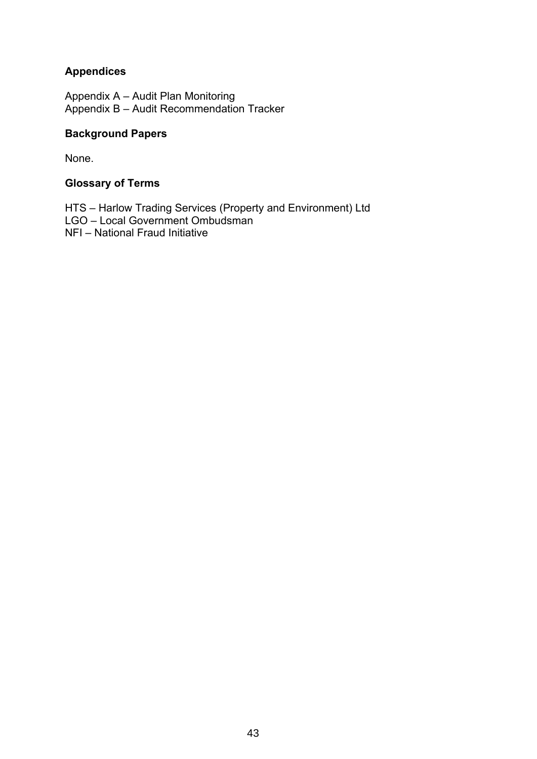## **Appendices**

Appendix A – Audit Plan Monitoring Appendix B – Audit Recommendation Tracker

#### **Background Papers**

None.

#### **Glossary of Terms**

HTS – Harlow Trading Services (Property and Environment) Ltd LGO – Local Government Ombudsman NFI – National Fraud Initiative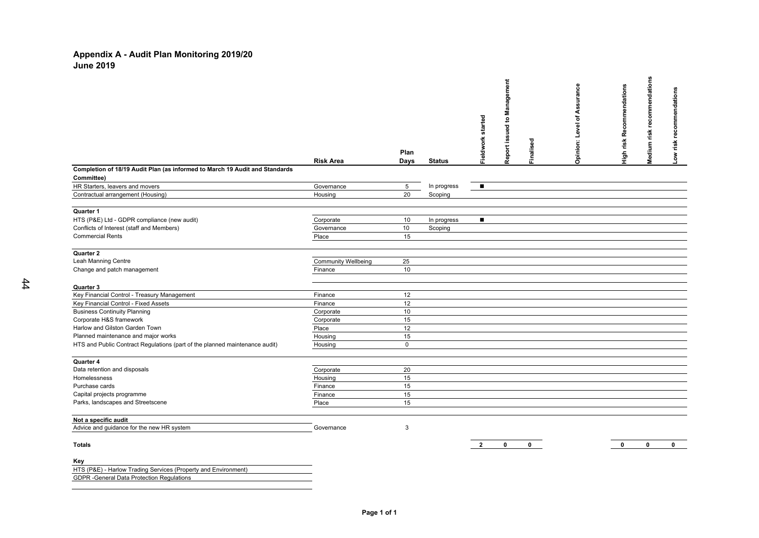#### **Appendix A - Audit Plan Monitoring 2019/20 June 2019**

|                                                                             |                            | Plan            |               | Fieldwork started | agement<br>g<br>e,<br>Report issued | Finalised   | surance<br>2<br>Ⴆ<br>᠊ᡆ<br>Š<br>⊒<br>Opinion: | High risk Recommendations | Medium risk recommendations | Low risk recommendations |
|-----------------------------------------------------------------------------|----------------------------|-----------------|---------------|-------------------|-------------------------------------|-------------|-----------------------------------------------|---------------------------|-----------------------------|--------------------------|
|                                                                             | <b>Risk Area</b>           | Days            | <b>Status</b> |                   |                                     |             |                                               |                           |                             |                          |
| Completion of 18/19 Audit Plan (as informed to March 19 Audit and Standards |                            |                 |               |                   |                                     |             |                                               |                           |                             |                          |
| Committee)                                                                  |                            |                 |               |                   |                                     |             |                                               |                           |                             |                          |
| HR Starters, leavers and movers                                             | Governance                 | $5\phantom{.0}$ | In progress   | $\blacksquare$    |                                     |             |                                               |                           |                             |                          |
| Contractual arrangement (Housing)                                           | Housing                    | 20              | Scoping       |                   |                                     |             |                                               |                           |                             |                          |
|                                                                             |                            |                 |               |                   |                                     |             |                                               |                           |                             |                          |
| Quarter 1                                                                   |                            |                 |               |                   |                                     |             |                                               |                           |                             |                          |
| HTS (P&E) Ltd - GDPR compliance (new audit)                                 | Corporate                  | 10              | In progress   | $\blacksquare$    |                                     |             |                                               |                           |                             |                          |
| Conflicts of Interest (staff and Members)                                   | Governance                 | 10              | Scoping       |                   |                                     |             |                                               |                           |                             |                          |
| <b>Commercial Rents</b>                                                     | Place                      | 15              |               |                   |                                     |             |                                               |                           |                             |                          |
| Quarter 2                                                                   |                            |                 |               |                   |                                     |             |                                               |                           |                             |                          |
| Leah Manning Centre                                                         | <b>Community Wellbeing</b> | 25              |               |                   |                                     |             |                                               |                           |                             |                          |
| Change and patch management                                                 | Finance                    | 10              |               |                   |                                     |             |                                               |                           |                             |                          |
|                                                                             |                            |                 |               |                   |                                     |             |                                               |                           |                             |                          |
| Quarter 3                                                                   |                            |                 |               |                   |                                     |             |                                               |                           |                             |                          |
| Key Financial Control - Treasury Management                                 | Finance                    | 12              |               |                   |                                     |             |                                               |                           |                             |                          |
| Key Financial Control - Fixed Assets                                        | Finance                    | 12              |               |                   |                                     |             |                                               |                           |                             |                          |
| <b>Business Continuity Planning</b>                                         | Corporate                  | 10              |               |                   |                                     |             |                                               |                           |                             |                          |
| Corporate H&S framework                                                     | Corporate                  | 15              |               |                   |                                     |             |                                               |                           |                             |                          |
| Harlow and Gilston Garden Town                                              | Place                      | 12              |               |                   |                                     |             |                                               |                           |                             |                          |
| Planned maintenance and major works                                         | Housing                    | 15              |               |                   |                                     |             |                                               |                           |                             |                          |
| HTS and Public Contract Regulations (part of the planned maintenance audit) | Housing                    | $\mathsf 0$     |               |                   |                                     |             |                                               |                           |                             |                          |
|                                                                             |                            |                 |               |                   |                                     |             |                                               |                           |                             |                          |
| Quarter 4                                                                   |                            |                 |               |                   |                                     |             |                                               |                           |                             |                          |
| Data retention and disposals                                                | Corporate                  | 20<br>15        |               |                   |                                     |             |                                               |                           |                             |                          |
| Homelessness                                                                | Housing                    | 15              |               |                   |                                     |             |                                               |                           |                             |                          |
| Purchase cards                                                              | Finance                    | 15              |               |                   |                                     |             |                                               |                           |                             |                          |
| Capital projects programme                                                  | Finance                    | 15              |               |                   |                                     |             |                                               |                           |                             |                          |
| Parks, landscapes and Streetscene                                           | Place                      |                 |               |                   |                                     |             |                                               |                           |                             |                          |
| Not a specific audit                                                        |                            |                 |               |                   |                                     |             |                                               |                           |                             |                          |
| Advice and guidance for the new HR system                                   | Governance                 | 3               |               |                   |                                     |             |                                               |                           |                             |                          |
| <b>Totals</b>                                                               |                            |                 |               | $\overline{2}$    | $\mathbf{0}$                        | $\mathbf 0$ |                                               | $\mathbf{0}$              | $\mathbf{0}$                | $\mathbf 0$              |
|                                                                             |                            |                 |               |                   |                                     |             |                                               |                           |                             |                          |
| Key<br>HTS (P&E) - Harlow Trading Services (Property and Environment)       |                            |                 |               |                   |                                     |             |                                               |                           |                             |                          |
|                                                                             |                            |                 |               |                   |                                     |             |                                               |                           |                             |                          |

GDPR -General Data Protection Regulations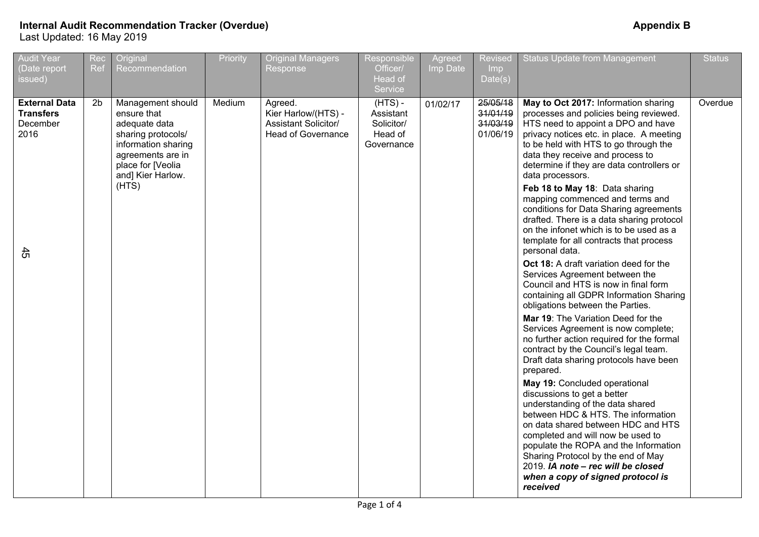| <b>Audit Year</b><br>(Date report<br>issued)                       | Rec<br>Ref     | Original<br>Recommendation                                                                                                                                             | Priority | <b>Original Managers</b><br>Response                                                | Responsible<br>Officer/<br>Head of<br>Service                 | Agreed<br>Imp Date | <b>Revised</b><br>Imp<br>Date(s)             | <b>Status Update from Management</b>                                                                                                                                                                                                                                                                                                                                                                                                                                                                                                                                                                                                                                                                                                            | <b>Status</b> |
|--------------------------------------------------------------------|----------------|------------------------------------------------------------------------------------------------------------------------------------------------------------------------|----------|-------------------------------------------------------------------------------------|---------------------------------------------------------------|--------------------|----------------------------------------------|-------------------------------------------------------------------------------------------------------------------------------------------------------------------------------------------------------------------------------------------------------------------------------------------------------------------------------------------------------------------------------------------------------------------------------------------------------------------------------------------------------------------------------------------------------------------------------------------------------------------------------------------------------------------------------------------------------------------------------------------------|---------------|
| <b>External Data</b><br><b>Transfers</b><br>December<br>2016<br>45 | 2 <sub>b</sub> | Management should<br>ensure that<br>adequate data<br>sharing protocols/<br>information sharing<br>agreements are in<br>place for [Veolia<br>and] Kier Harlow.<br>(HTS) | Medium   | Agreed.<br>Kier Harlow/(HTS) -<br>Assistant Solicitor/<br><b>Head of Governance</b> | $(HTS) -$<br>Assistant<br>Solicitor/<br>Head of<br>Governance | 01/02/17           | 25/05/18<br>31/01/19<br>31/03/19<br>01/06/19 | May to Oct 2017: Information sharing<br>processes and policies being reviewed.<br>HTS need to appoint a DPO and have<br>privacy notices etc. in place. A meeting<br>to be held with HTS to go through the<br>data they receive and process to<br>determine if they are data controllers or<br>data processors.<br>Feb 18 to May 18: Data sharing<br>mapping commenced and terms and<br>conditions for Data Sharing agreements<br>drafted. There is a data sharing protocol<br>on the infonet which is to be used as a<br>template for all contracts that process<br>personal data.<br>Oct 18: A draft variation deed for the<br>Services Agreement between the                                                                                  | Overdue       |
|                                                                    |                |                                                                                                                                                                        |          |                                                                                     |                                                               |                    |                                              | Council and HTS is now in final form<br>containing all GDPR Information Sharing<br>obligations between the Parties.<br><b>Mar 19:</b> The Variation Deed for the<br>Services Agreement is now complete;<br>no further action required for the formal<br>contract by the Council's legal team.<br>Draft data sharing protocols have been<br>prepared.<br>May 19: Concluded operational<br>discussions to get a better<br>understanding of the data shared<br>between HDC & HTS. The information<br>on data shared between HDC and HTS<br>completed and will now be used to<br>populate the ROPA and the Information<br>Sharing Protocol by the end of May<br>2019. IA note - rec will be closed<br>when a copy of signed protocol is<br>received |               |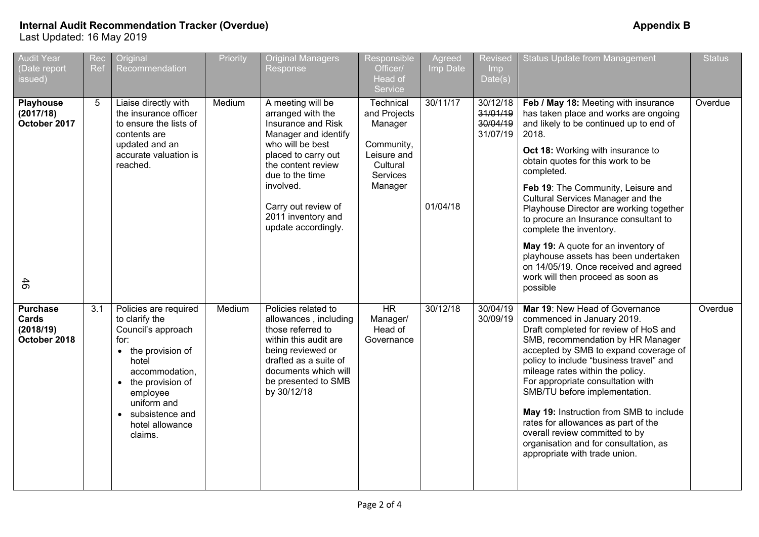| <b>Audit Year</b><br>Date report<br>issued)           | Rec<br>Ref | Original<br>Recommendation                                                                                                                                                                                                 | Priority | <b>Original Managers</b><br>Response                                                                                                                                                                                                                      | Responsible<br>Officer/<br>Head of<br>Service                                                        | Agreed<br>Imp Date   | Revised<br><b>Imp</b><br>Date(s)             | <b>Status Update from Management</b>                                                                                                                                                                                                                                                                                                                                                                                                                                                                                                                                                         | <b>Status</b> |
|-------------------------------------------------------|------------|----------------------------------------------------------------------------------------------------------------------------------------------------------------------------------------------------------------------------|----------|-----------------------------------------------------------------------------------------------------------------------------------------------------------------------------------------------------------------------------------------------------------|------------------------------------------------------------------------------------------------------|----------------------|----------------------------------------------|----------------------------------------------------------------------------------------------------------------------------------------------------------------------------------------------------------------------------------------------------------------------------------------------------------------------------------------------------------------------------------------------------------------------------------------------------------------------------------------------------------------------------------------------------------------------------------------------|---------------|
| <b>Playhouse</b><br>(2017/18)<br>October 2017<br>46   | 5          | Liaise directly with<br>the insurance officer<br>to ensure the lists of<br>contents are<br>updated and an<br>accurate valuation is<br>reached.                                                                             | Medium   | A meeting will be<br>arranged with the<br>Insurance and Risk<br>Manager and identify<br>who will be best<br>placed to carry out<br>the content review<br>due to the time<br>involved.<br>Carry out review of<br>2011 inventory and<br>update accordingly. | Technical<br>and Projects<br>Manager<br>Community,<br>Leisure and<br>Cultural<br>Services<br>Manager | 30/11/17<br>01/04/18 | 30/12/18<br>31/01/19<br>30/04/19<br>31/07/19 | Feb / May 18: Meeting with insurance<br>has taken place and works are ongoing<br>and likely to be continued up to end of<br>2018.<br>Oct 18: Working with insurance to<br>obtain quotes for this work to be<br>completed.<br>Feb 19: The Community, Leisure and<br>Cultural Services Manager and the<br>Playhouse Director are working together<br>to procure an Insurance consultant to<br>complete the inventory.<br>May 19: A quote for an inventory of<br>playhouse assets has been undertaken<br>on 14/05/19. Once received and agreed<br>work will then proceed as soon as<br>possible | Overdue       |
| <b>Purchase</b><br>Cards<br>(2018/19)<br>October 2018 | 3.1        | Policies are required<br>to clarify the<br>Council's approach<br>for:<br>• the provision of<br>hotel<br>accommodation,<br>• the provision of<br>employee<br>uniform and<br>• subsistence and<br>hotel allowance<br>claims. | Medium   | Policies related to<br>allowances, including<br>those referred to<br>within this audit are<br>being reviewed or<br>drafted as a suite of<br>documents which will<br>be presented to SMB<br>by 30/12/18                                                    | HR<br>Manager/<br>Head of<br>Governance                                                              | 30/12/18             | 30/04/19<br>30/09/19                         | Mar 19: New Head of Governance<br>commenced in January 2019.<br>Draft completed for review of HoS and<br>SMB, recommendation by HR Manager<br>accepted by SMB to expand coverage of<br>policy to include "business travel" and<br>mileage rates within the policy.<br>For appropriate consultation with<br>SMB/TU before implementation.<br>May 19: Instruction from SMB to include<br>rates for allowances as part of the<br>overall review committed to by<br>organisation and for consultation, as<br>appropriate with trade union.                                                       | Overdue       |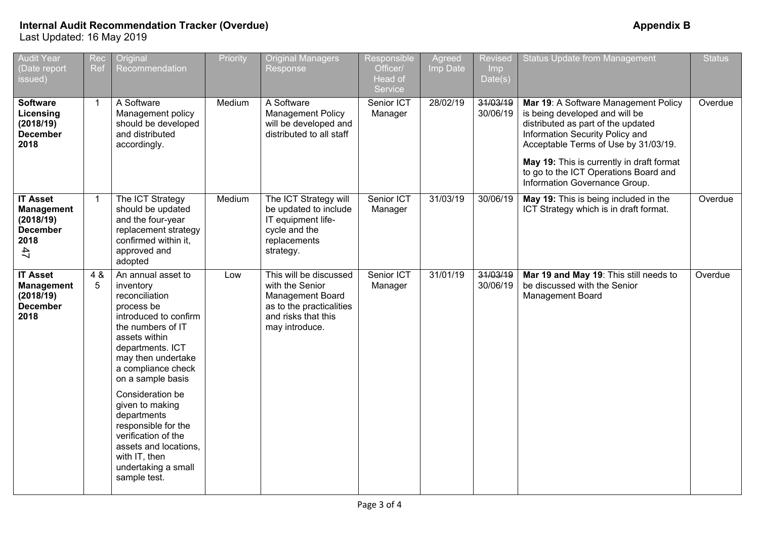| <b>Audit Year</b><br>(Date report<br>issued)                                       | Rec<br>Ref     | Original<br>Recommendation                                                                                                                                                                                                                                                                                                                                                                               | Priority | <b>Original Managers</b><br>Response                                                                                               | Responsible<br>Officer/<br>Head of<br>Service | Agreed<br>Imp Date | <b>Revised</b><br>Imp<br>Date(s) | <b>Status Update from Management</b>                                                                                                                                                                                                                                                                           | <b>Status</b> |
|------------------------------------------------------------------------------------|----------------|----------------------------------------------------------------------------------------------------------------------------------------------------------------------------------------------------------------------------------------------------------------------------------------------------------------------------------------------------------------------------------------------------------|----------|------------------------------------------------------------------------------------------------------------------------------------|-----------------------------------------------|--------------------|----------------------------------|----------------------------------------------------------------------------------------------------------------------------------------------------------------------------------------------------------------------------------------------------------------------------------------------------------------|---------------|
| <b>Software</b><br>Licensing<br>(2018/19)<br><b>December</b><br>2018               | $\overline{1}$ | A Software<br>Management policy<br>should be developed<br>and distributed<br>accordingly.                                                                                                                                                                                                                                                                                                                | Medium   | A Software<br>Management Policy<br>will be developed and<br>distributed to all staff                                               | Senior ICT<br>Manager                         | 28/02/19           | 31/03/19<br>30/06/19             | Mar 19: A Software Management Policy<br>is being developed and will be<br>distributed as part of the updated<br>Information Security Policy and<br>Acceptable Terms of Use by 31/03/19.<br>May 19: This is currently in draft format<br>to go to the ICT Operations Board and<br>Information Governance Group. | Overdue       |
| <b>IT Asset</b><br><b>Management</b><br>(2018/19)<br><b>December</b><br>2018<br>47 | $\mathbf{1}$   | The ICT Strategy<br>should be updated<br>and the four-year<br>replacement strategy<br>confirmed within it,<br>approved and<br>adopted                                                                                                                                                                                                                                                                    | Medium   | The ICT Strategy will<br>be updated to include<br>IT equipment life-<br>cycle and the<br>replacements<br>strategy.                 | Senior ICT<br>Manager                         | 31/03/19           | 30/06/19                         | May 19: This is being included in the<br>ICT Strategy which is in draft format.                                                                                                                                                                                                                                | Overdue       |
| <b>IT Asset</b><br><b>Management</b><br>(2018/19)<br><b>December</b><br>2018       | 4 &<br>5       | An annual asset to<br>inventory<br>reconciliation<br>process be<br>introduced to confirm<br>the numbers of IT<br>assets within<br>departments. ICT<br>may then undertake<br>a compliance check<br>on a sample basis<br>Consideration be<br>given to making<br>departments<br>responsible for the<br>verification of the<br>assets and locations,<br>with IT, then<br>undertaking a small<br>sample test. | Low      | This will be discussed<br>with the Senior<br>Management Board<br>as to the practicalities<br>and risks that this<br>may introduce. | Senior ICT<br>Manager                         | 31/01/19           | 31/03/19<br>30/06/19             | Mar 19 and May 19: This still needs to<br>be discussed with the Senior<br>Management Board                                                                                                                                                                                                                     | Overdue       |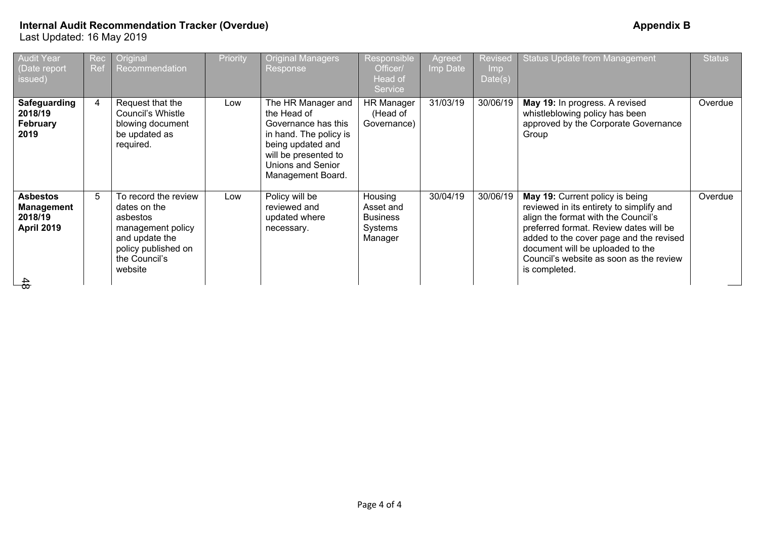| 31/03/19<br>30/06/19<br>$\overline{4}$<br>Request that the<br><b>HR Manager</b><br>May 19: In progress. A revised<br>Safeguarding<br>The HR Manager and<br>Overdue<br>Low<br>Council's Whistle<br>the Head of<br>whistleblowing policy has been<br>2018/19<br>(Head of<br>approved by the Corporate Governance<br><b>February</b><br>blowing document<br>Governance has this<br>Governance)<br>be updated as<br>2019<br>in hand. The policy is<br>Group<br>being updated and<br>required.<br>will be presented to<br>Unions and Senior<br>Management Board.<br>To record the review<br>30/04/19<br>30/06/19<br>5<br>Policy will be<br>Housing<br>May 19: Current policy is being<br>Overdue<br><b>Asbestos</b><br>Low<br>reviewed in its entirety to simplify and<br>reviewed and<br>dates on the<br>Asset and<br><b>Management</b><br>align the format with the Council's<br>2018/19<br><b>Business</b><br>updated where<br>asbestos<br>preferred format. Review dates will be<br><b>April 2019</b><br>Systems<br>management policy<br>necessary.<br>added to the cover page and the revised<br>and update the<br>Manager<br>document will be uploaded to the<br>policy published on<br>the Council's<br>Council's website as soon as the review<br>website<br>is completed. | <b>Audit Year</b><br>(Date report<br>issued) | Rec<br>Ref | Original<br>Recommendation | Priority | <b>Original Managers</b><br>Response | Responsible<br>Officer/<br>Head of<br>Service | Agreed<br>Imp Date | Revised<br><b>Imp</b><br>Date(s) | <b>Status Update from Management</b> | <b>Status</b> |
|-------------------------------------------------------------------------------------------------------------------------------------------------------------------------------------------------------------------------------------------------------------------------------------------------------------------------------------------------------------------------------------------------------------------------------------------------------------------------------------------------------------------------------------------------------------------------------------------------------------------------------------------------------------------------------------------------------------------------------------------------------------------------------------------------------------------------------------------------------------------------------------------------------------------------------------------------------------------------------------------------------------------------------------------------------------------------------------------------------------------------------------------------------------------------------------------------------------------------------------------------------------------------------|----------------------------------------------|------------|----------------------------|----------|--------------------------------------|-----------------------------------------------|--------------------|----------------------------------|--------------------------------------|---------------|
|                                                                                                                                                                                                                                                                                                                                                                                                                                                                                                                                                                                                                                                                                                                                                                                                                                                                                                                                                                                                                                                                                                                                                                                                                                                                               |                                              |            |                            |          |                                      |                                               |                    |                                  |                                      |               |
|                                                                                                                                                                                                                                                                                                                                                                                                                                                                                                                                                                                                                                                                                                                                                                                                                                                                                                                                                                                                                                                                                                                                                                                                                                                                               |                                              |            |                            |          |                                      |                                               |                    |                                  |                                      |               |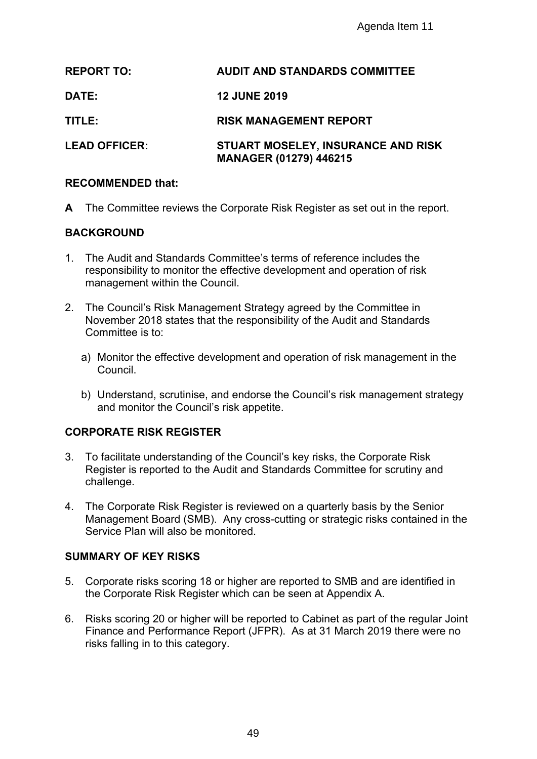|                |                                          | Agenda Item 11                                                                                                                                           |
|----------------|------------------------------------------|----------------------------------------------------------------------------------------------------------------------------------------------------------|
|                | <b>REPORT TO:</b>                        | <b>AUDIT AND STANDARDS COMMITTEE</b>                                                                                                                     |
| <b>DATE:</b>   |                                          | <b>12 JUNE 2019</b>                                                                                                                                      |
| TITLE:         |                                          | <b>RISK MANAGEMENT REPORT</b>                                                                                                                            |
|                | <b>LEAD OFFICER:</b>                     | STUART MOSELEY, INSURANCE AND RISK<br><b>MANAGER (01279) 446215</b>                                                                                      |
|                | <b>RECOMMENDED that:</b>                 |                                                                                                                                                          |
|                |                                          | A The Committee reviews the Corporate Risk Register as set out in the report                                                                             |
|                | <b>BACKGROUND</b>                        |                                                                                                                                                          |
| $1_{-}$        | management within the Council.           | The Audit and Standards Committee's terms of reference includes the<br>responsibility to monitor the effective development and operation of risk         |
| 2.             | Committee is to:                         | The Council's Risk Management Strategy agreed by the Committee in<br>November 2018 states that the responsibility of the Audit and Standards             |
|                | Council.                                 | a) Monitor the effective development and operation of risk management in                                                                                 |
|                | and monitor the Council's risk appetite. | b) Understand, scrutinise, and endorse the Council's risk management stra                                                                                |
|                | <b>CORPORATE RISK REGISTER</b>           |                                                                                                                                                          |
| 3.             | challenge.                               | To facilitate understanding of the Council's key risks, the Corporate Risk<br>Register is reported to the Audit and Standards Committee for scrutiny and |
| 4.             | Service Plan will also be monitored.     | The Corporate Risk Register is reviewed on a quarterly basis by the Senior<br>Management Board (SMB). Any cross-cutting or strategic risks contained     |
|                | <b>SUMMARY OF KEY RISKS</b>              |                                                                                                                                                          |
| 5 <sub>1</sub> |                                          | Corporate risks scoring 18 or higher are reported to SMB and are identified<br>the Corporate Risk Register which can be seen at Appendix A.              |
| 6.             | risks falling in to this category.       | Risks scoring 20 or higher will be reported to Cabinet as part of the regular<br>Finance and Performance Report (JFPR). As at 31 March 2019 there were   |
|                |                                          |                                                                                                                                                          |
|                |                                          | 49                                                                                                                                                       |

#### **RECOMMENDED that:**

#### **BACKGROUND**

- 1. The Audit and Standards Committee's terms of reference includes the responsibility to monitor the effective development and operation of risk management within the Council.
- 2. The Council's Risk Management Strategy agreed by the Committee in November 2018 states that the responsibility of the Audit and Standards Committee is to:
	- a) Monitor the effective development and operation of risk management in the Council.
	- b) Understand, scrutinise, and endorse the Council's risk management strategy and monitor the Council's risk appetite.

## **CORPORATE RISK REGISTER**

- 3. To facilitate understanding of the Council's key risks, the Corporate Risk Register is reported to the Audit and Standards Committee for scrutiny and challenge.
- 4. The Corporate Risk Register is reviewed on a quarterly basis by the Senior Management Board (SMB). Any cross-cutting or strategic risks contained in the Service Plan will also be monitored.

#### **SUMMARY OF KEY RISKS**

- 5. Corporate risks scoring 18 or higher are reported to SMB and are identified in the Corporate Risk Register which can be seen at Appendix A.
- 6. Risks scoring 20 or higher will be reported to Cabinet as part of the regular Joint Finance and Performance Report (JFPR). As at 31 March 2019 there were no risks falling in to this category.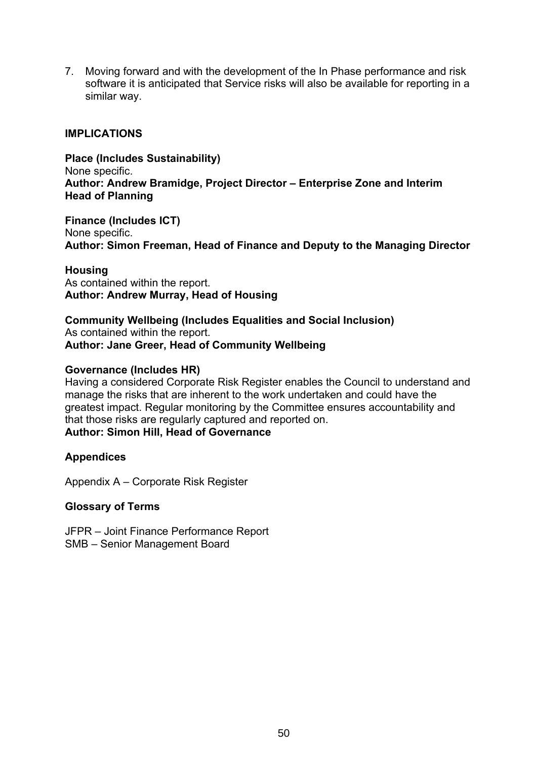7. Moving forward and with the development of the In Phase performance and risk software it is anticipated that Service risks will also be available for reporting in a similar way.

#### **IMPLICATIONS**

**Place (Includes Sustainability)** None specific. **Author: Andrew Bramidge, Project Director – Enterprise Zone and Interim Head of Planning**

**Finance (Includes ICT)** None specific. **Author: Simon Freeman, Head of Finance and Deputy to the Managing Director**

**Housing** As contained within the report. **Author: Andrew Murray, Head of Housing**

**Community Wellbeing (Includes Equalities and Social Inclusion)** As contained within the report. **Author: Jane Greer, Head of Community Wellbeing**

#### **Governance (Includes HR)**

Having a considered Corporate Risk Register enables the Council to understand and manage the risks that are inherent to the work undertaken and could have the greatest impact. Regular monitoring by the Committee ensures accountability and that those risks are regularly captured and reported on.

## **Author: Simon Hill, Head of Governance**

#### **Appendices**

Appendix A – Corporate Risk Register

#### **Glossary of Terms**

JFPR – Joint Finance Performance Report SMB – Senior Management Board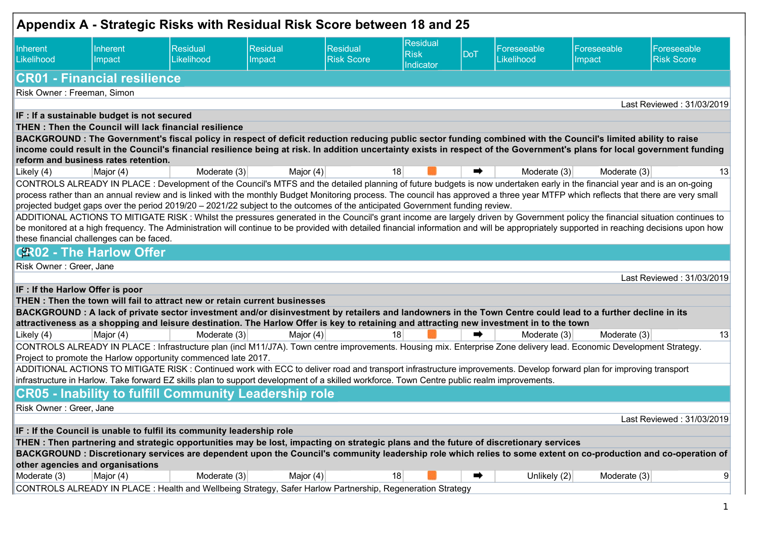|                                  |                                             | Appendix A - Strategic Risks with Residual Risk Score between 18 and 25                                                                                                                                                                |                    |                               |                                      |     |                           |                       |                                                                                                                                                                                          |
|----------------------------------|---------------------------------------------|----------------------------------------------------------------------------------------------------------------------------------------------------------------------------------------------------------------------------------------|--------------------|-------------------------------|--------------------------------------|-----|---------------------------|-----------------------|------------------------------------------------------------------------------------------------------------------------------------------------------------------------------------------|
| Inherent<br>Likelihood           | Inherent<br>Impact                          | Residual<br>Likelihood                                                                                                                                                                                                                 | Residual<br>Impact | Residual<br><b>Risk Score</b> | Residual<br><b>Risk</b><br>Indicator | DoT | Foreseeable<br>Likelihood | Foreseeable<br>Impact | Foreseeable<br><b>Risk Score</b>                                                                                                                                                         |
|                                  | <b>CR01 - Financial resilience</b>          |                                                                                                                                                                                                                                        |                    |                               |                                      |     |                           |                       |                                                                                                                                                                                          |
| Risk Owner: Freeman, Simon       |                                             |                                                                                                                                                                                                                                        |                    |                               |                                      |     |                           |                       |                                                                                                                                                                                          |
|                                  |                                             |                                                                                                                                                                                                                                        |                    |                               |                                      |     |                           |                       | Last Reviewed: 31/03/2019                                                                                                                                                                |
|                                  | IF : If a sustainable budget is not secured | THEN: Then the Council will lack financial resilience                                                                                                                                                                                  |                    |                               |                                      |     |                           |                       |                                                                                                                                                                                          |
|                                  |                                             | BACKGROUND: The Government's fiscal policy in respect of deficit reduction reducing public sector funding combined with the Council's limited ability to raise                                                                         |                    |                               |                                      |     |                           |                       |                                                                                                                                                                                          |
|                                  |                                             |                                                                                                                                                                                                                                        |                    |                               |                                      |     |                           |                       | income could result in the Council's financial resilience being at risk. In addition uncertainty exists in respect of the Government's plans for local government funding                |
|                                  | reform and business rates retention.        |                                                                                                                                                                                                                                        |                    |                               |                                      |     |                           |                       |                                                                                                                                                                                          |
| Likely (4)                       | Major (4)                                   | Moderate $(3)$                                                                                                                                                                                                                         | Major (4)          |                               | 18                                   | ➡   | Moderate (3)              | Moderate (3)          | 13                                                                                                                                                                                       |
|                                  |                                             | CONTROLS ALREADY IN PLACE : Development of the Council's MTFS and the detailed planning of future budgets is now undertaken early in the financial year and is an on-going                                                             |                    |                               |                                      |     |                           |                       |                                                                                                                                                                                          |
|                                  |                                             |                                                                                                                                                                                                                                        |                    |                               |                                      |     |                           |                       | process rather than an annual review and is linked with the monthly Budget Monitoring process. The council has approved a three year MTFP which reflects that there are very small       |
|                                  |                                             | projected budget gaps over the period 2019/20 - 2021/22 subject to the outcomes of the anticipated Government funding review.                                                                                                          |                    |                               |                                      |     |                           |                       | ADDITIONAL ACTIONS TO MITIGATE RISK: Whilst the pressures generated in the Council's grant income are largely driven by Government policy the financial situation continues to           |
|                                  |                                             |                                                                                                                                                                                                                                        |                    |                               |                                      |     |                           |                       | be monitored at a high frequency. The Administration will continue to be provided with detailed financial information and will be appropriately supported in reaching decisions upon how |
|                                  | these financial challenges can be faced.    |                                                                                                                                                                                                                                        |                    |                               |                                      |     |                           |                       |                                                                                                                                                                                          |
|                                  | <b>CR02 - The Harlow Offer</b>              |                                                                                                                                                                                                                                        |                    |                               |                                      |     |                           |                       |                                                                                                                                                                                          |
| Risk Owner: Greer, Jane          |                                             |                                                                                                                                                                                                                                        |                    |                               |                                      |     |                           |                       |                                                                                                                                                                                          |
|                                  |                                             |                                                                                                                                                                                                                                        |                    |                               |                                      |     |                           |                       | Last Reviewed: 31/03/2019                                                                                                                                                                |
| IF : If the Harlow Offer is poor |                                             |                                                                                                                                                                                                                                        |                    |                               |                                      |     |                           |                       |                                                                                                                                                                                          |
|                                  |                                             | THEN: Then the town will fail to attract new or retain current businesses                                                                                                                                                              |                    |                               |                                      |     |                           |                       |                                                                                                                                                                                          |
|                                  |                                             | BACKGROUND : A lack of private sector investment and/or disinvestment by retailers and landowners in the Town Centre could lead to a further decline in its                                                                            |                    |                               |                                      |     |                           |                       |                                                                                                                                                                                          |
|                                  |                                             | attractiveness as a shopping and leisure destination. The Harlow Offer is key to retaining and attracting new investment in to the town                                                                                                |                    |                               |                                      |     |                           |                       |                                                                                                                                                                                          |
| Likely (4)                       | Major (4)                                   | Moderate (3)                                                                                                                                                                                                                           | Major (4)          |                               | 18                                   |     | Moderate (3)              | Moderate (3)          | 13                                                                                                                                                                                       |
|                                  |                                             | CONTROLS ALREADY IN PLACE : Infrastructure plan (incl M11/J7A). Town centre improvements. Housing mix. Enterprise Zone delivery lead. Economic Development Strategy.<br>Project to promote the Harlow opportunity commenced late 2017. |                    |                               |                                      |     |                           |                       |                                                                                                                                                                                          |
|                                  |                                             | ADDITIONAL ACTIONS TO MITIGATE RISK: Continued work with ECC to deliver road and transport infrastructure improvements. Develop forward plan for improving transport                                                                   |                    |                               |                                      |     |                           |                       |                                                                                                                                                                                          |
|                                  |                                             | infrastructure in Harlow. Take forward EZ skills plan to support development of a skilled workforce. Town Centre public realm improvements.                                                                                            |                    |                               |                                      |     |                           |                       |                                                                                                                                                                                          |
|                                  |                                             | <b>CR05 - Inability to fulfill Community Leadership role</b>                                                                                                                                                                           |                    |                               |                                      |     |                           |                       |                                                                                                                                                                                          |
| Risk Owner: Greer, Jane          |                                             |                                                                                                                                                                                                                                        |                    |                               |                                      |     |                           |                       |                                                                                                                                                                                          |
|                                  |                                             |                                                                                                                                                                                                                                        |                    |                               |                                      |     |                           |                       | Last Reviewed: 31/03/2019                                                                                                                                                                |
|                                  |                                             | IF : If the Council is unable to fulfil its community leadership role                                                                                                                                                                  |                    |                               |                                      |     |                           |                       |                                                                                                                                                                                          |
|                                  |                                             | THEN: Then partnering and strategic opportunities may be lost, impacting on strategic plans and the future of discretionary services                                                                                                   |                    |                               |                                      |     |                           |                       |                                                                                                                                                                                          |
|                                  |                                             |                                                                                                                                                                                                                                        |                    |                               |                                      |     |                           |                       | BACKGROUND : Discretionary services are dependent upon the Council's community leadership role which relies to some extent on co-production and co-operation of                          |
| other agencies and organisations |                                             |                                                                                                                                                                                                                                        |                    |                               |                                      |     |                           |                       |                                                                                                                                                                                          |
| Moderate (3)                     | Major (4)                                   | Moderate (3)                                                                                                                                                                                                                           | Major $(4)$        |                               | 18                                   | ➡   | Unlikely $(2)$            | Moderate (3)          | 9                                                                                                                                                                                        |
|                                  |                                             | CONTROLS ALREADY IN PLACE : Health and Wellbeing Strategy, Safer Harlow Partnership, Regeneration Strategy                                                                                                                             |                    |                               |                                      |     |                           |                       |                                                                                                                                                                                          |